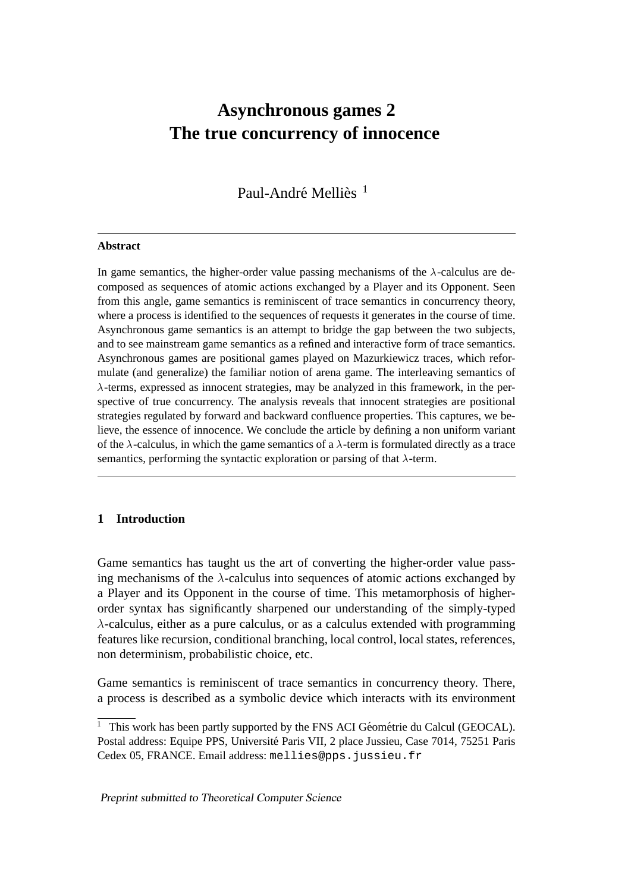# **Asynchronous games 2 The true concurrency of innocence**

Paul-André Melliès<sup>1</sup>

#### **Abstract**

In game semantics, the higher-order value passing mechanisms of the  $\lambda$ -calculus are decomposed as sequences of atomic actions exchanged by a Player and its Opponent. Seen from this angle, game semantics is reminiscent of trace semantics in concurrency theory, where a process is identified to the sequences of requests it generates in the course of time. Asynchronous game semantics is an attempt to bridge the gap between the two subjects, and to see mainstream game semantics as a refined and interactive form of trace semantics. Asynchronous games are positional games played on Mazurkiewicz traces, which reformulate (and generalize) the familiar notion of arena game. The interleaving semantics of  $\lambda$ -terms, expressed as innocent strategies, may be analyzed in this framework, in the perspective of true concurrency. The analysis reveals that innocent strategies are positional strategies regulated by forward and backward confluence properties. This captures, we believe, the essence of innocence. We conclude the article by defining a non uniform variant of the  $\lambda$ -calculus, in which the game semantics of a  $\lambda$ -term is formulated directly as a trace semantics, performing the syntactic exploration or parsing of that  $\lambda$ -term.

# **1 Introduction**

Game semantics has taught us the art of converting the higher-order value passing mechanisms of the  $\lambda$ -calculus into sequences of atomic actions exchanged by a Player and its Opponent in the course of time. This metamorphosis of higherorder syntax has significantly sharpened our understanding of the simply-typed  $\lambda$ -calculus, either as a pure calculus, or as a calculus extended with programming features like recursion, conditional branching, local control, local states, references, non determinism, probabilistic choice, etc.

Game semantics is reminiscent of trace semantics in concurrency theory. There, a process is described as a symbolic device which interacts with its environment

 $1$  This work has been partly supported by the FNS ACI Géométrie du Calcul (GEOCAL). Postal address: Equipe PPS, Universite Paris VII, 2 place Jussieu, Case 7014, 75251 Paris ´ Cedex 05, FRANCE. Email address: mellies@pps.jussieu.fr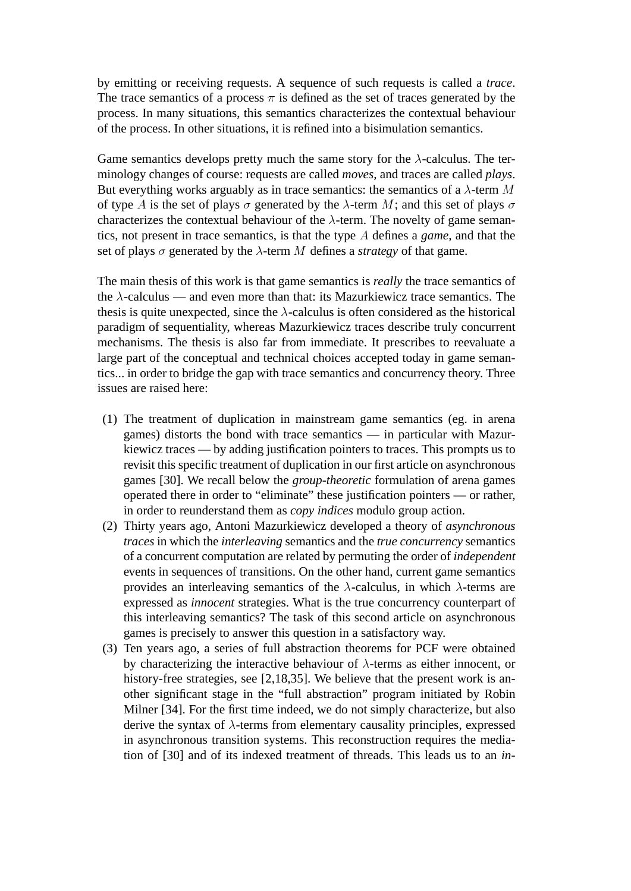by emitting or receiving requests. A sequence of such requests is called a *trace*. The trace semantics of a process  $\pi$  is defined as the set of traces generated by the process. In many situations, this semantics characterizes the contextual behaviour of the process. In other situations, it is refined into a bisimulation semantics.

Game semantics develops pretty much the same story for the  $\lambda$ -calculus. The terminology changes of course: requests are called *moves*, and traces are called *plays*. But everything works arguably as in trace semantics: the semantics of a  $\lambda$ -term M of type A is the set of plays  $\sigma$  generated by the  $\lambda$ -term M; and this set of plays  $\sigma$ characterizes the contextual behaviour of the  $\lambda$ -term. The novelty of game semantics, not present in trace semantics, is that the type A defines a *game*, and that the set of plays  $\sigma$  generated by the  $\lambda$ -term M defines a *strategy* of that game.

The main thesis of this work is that game semantics is *really* the trace semantics of the  $\lambda$ -calculus — and even more than that: its Mazurkiewicz trace semantics. The thesis is quite unexpected, since the  $\lambda$ -calculus is often considered as the historical paradigm of sequentiality, whereas Mazurkiewicz traces describe truly concurrent mechanisms. The thesis is also far from immediate. It prescribes to reevaluate a large part of the conceptual and technical choices accepted today in game semantics... in order to bridge the gap with trace semantics and concurrency theory. Three issues are raised here:

- (1) The treatment of duplication in mainstream game semantics (eg. in arena games) distorts the bond with trace semantics — in particular with Mazurkiewicz traces — by adding justification pointers to traces. This prompts us to revisit this specific treatment of duplication in our first article on asynchronous games [30]. We recall below the *group-theoretic* formulation of arena games operated there in order to "eliminate" these justification pointers — or rather, in order to reunderstand them as *copy indices* modulo group action.
- (2) Thirty years ago, Antoni Mazurkiewicz developed a theory of *asynchronous traces* in which the *interleaving* semantics and the *true concurrency* semantics of a concurrent computation are related by permuting the order of *independent* events in sequences of transitions. On the other hand, current game semantics provides an interleaving semantics of the  $\lambda$ -calculus, in which  $\lambda$ -terms are expressed as *innocent* strategies. What is the true concurrency counterpart of this interleaving semantics? The task of this second article on asynchronous games is precisely to answer this question in a satisfactory way.
- (3) Ten years ago, a series of full abstraction theorems for PCF were obtained by characterizing the interactive behaviour of  $\lambda$ -terms as either innocent, or history-free strategies, see [2,18,35]. We believe that the present work is another significant stage in the "full abstraction" program initiated by Robin Milner [34]. For the first time indeed, we do not simply characterize, but also derive the syntax of  $\lambda$ -terms from elementary causality principles, expressed in asynchronous transition systems. This reconstruction requires the mediation of [30] and of its indexed treatment of threads. This leads us to an *in-*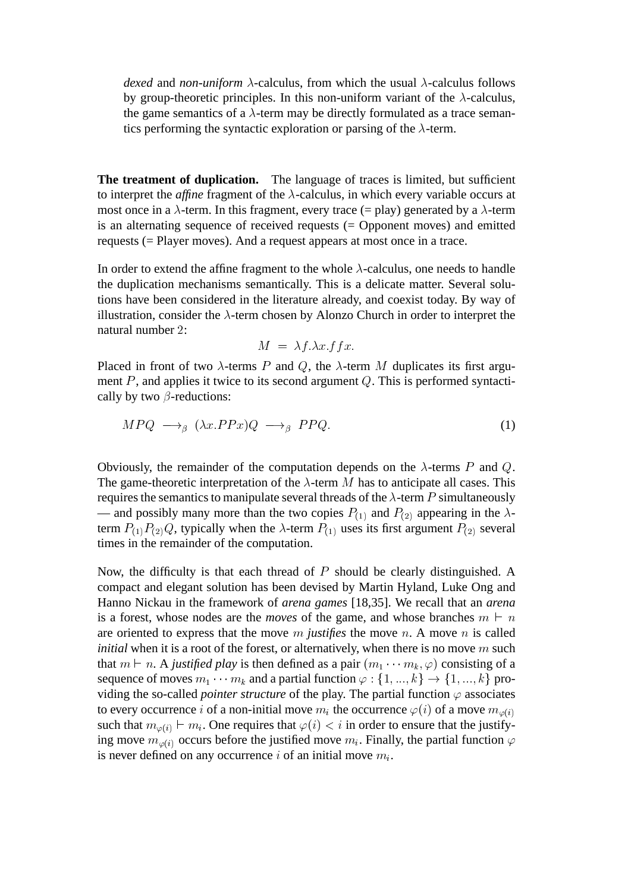*dexed* and *non-uniform*  $\lambda$ -calculus, from which the usual  $\lambda$ -calculus follows by group-theoretic principles. In this non-uniform variant of the  $\lambda$ -calculus, the game semantics of a  $\lambda$ -term may be directly formulated as a trace semantics performing the syntactic exploration or parsing of the  $\lambda$ -term.

**The treatment of duplication.** The language of traces is limited, but sufficient to interpret the *affine* fragment of the  $\lambda$ -calculus, in which every variable occurs at most once in a  $\lambda$ -term. In this fragment, every trace (= play) generated by a  $\lambda$ -term is an alternating sequence of received requests (= Opponent moves) and emitted requests (= Player moves). And a request appears at most once in a trace.

In order to extend the affine fragment to the whole  $\lambda$ -calculus, one needs to handle the duplication mechanisms semantically. This is a delicate matter. Several solutions have been considered in the literature already, and coexist today. By way of illustration, consider the  $\lambda$ -term chosen by Alonzo Church in order to interpret the natural number 2:

$$
M = \lambda f. \lambda x. f f x.
$$

Placed in front of two  $\lambda$ -terms P and Q, the  $\lambda$ -term M duplicates its first argument  $P$ , and applies it twice to its second argument  $Q$ . This is performed syntactically by two  $\beta$ -reductions:

$$
MPQ \longrightarrow_{\beta} (\lambda x.PPx)Q \longrightarrow_{\beta} PPQ.
$$
 (1)

Obviously, the remainder of the computation depends on the  $\lambda$ -terms P and Q. The game-theoretic interpretation of the  $\lambda$ -term M has to anticipate all cases. This requires the semantics to manipulate several threads of the  $\lambda$ -term P simultaneously — and possibly many more than the two copies  $P_{(1)}$  and  $P_{(2)}$  appearing in the  $\lambda$ term  $P_{(1)}P_{(2)}Q$ , typically when the  $\lambda$ -term  $P_{(1)}$  uses its first argument  $P_{(2)}$  several times in the remainder of the computation.

Now, the difficulty is that each thread of  $P$  should be clearly distinguished. A compact and elegant solution has been devised by Martin Hyland, Luke Ong and Hanno Nickau in the framework of *arena games* [18,35]. We recall that an *arena* is a forest, whose nodes are the *moves* of the game, and whose branches  $m \vdash n$ are oriented to express that the move  $m$  *justifies* the move  $n$ . A move  $n$  is called *initial* when it is a root of the forest, or alternatively, when there is no move m such that  $m \vdash n$ . A *justified play* is then defined as a pair  $(m_1 \cdots m_k, \varphi)$  consisting of a sequence of moves  $m_1 \cdots m_k$  and a partial function  $\varphi : \{1, ..., k\} \rightarrow \{1, ..., k\}$  providing the so-called *pointer structure* of the play. The partial function  $\varphi$  associates to every occurrence i of a non-initial move  $m_i$  the occurrence  $\varphi(i)$  of a move  $m_{\varphi(i)}$ such that  $m_{\varphi(i)} \vdash m_i$ . One requires that  $\varphi(i) < i$  in order to ensure that the justifying move  $m_{\varphi(i)}$  occurs before the justified move  $m_i$ . Finally, the partial function  $\varphi$ is never defined on any occurrence i of an initial move  $m_i$ .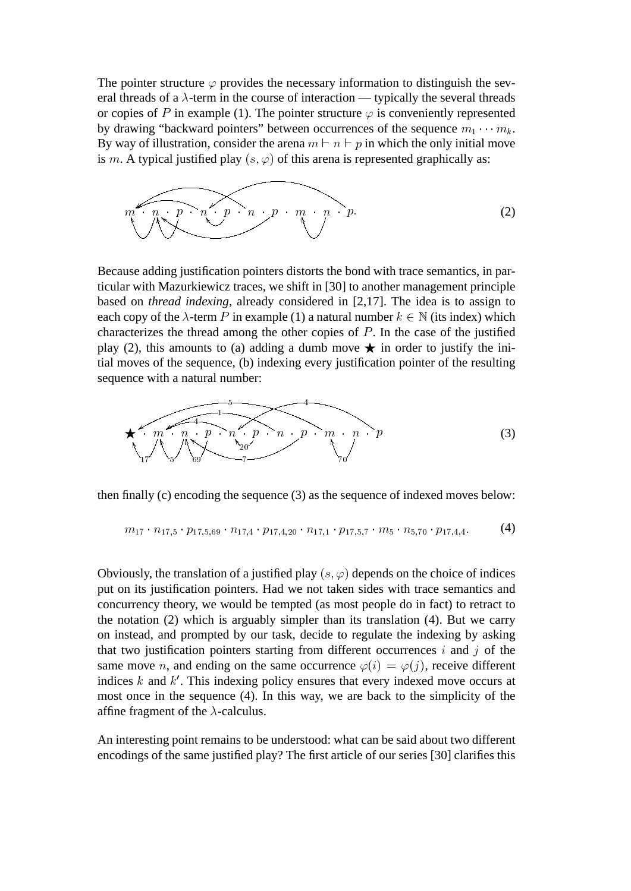The pointer structure  $\varphi$  provides the necessary information to distinguish the several threads of a  $\lambda$ -term in the course of interaction — typically the several threads or copies of P in example (1). The pointer structure  $\varphi$  is conveniently represented by drawing "backward pointers" between occurrences of the sequence  $m_1 \cdots m_k$ . By way of illustration, consider the arena  $m \vdash n \vdash p$  in which the only initial move is m. A typical justified play  $(s, \varphi)$  of this arena is represented graphically as:

$$
m \left( \underbrace{n \cdot p \cdot n \cdot p \cdot n \cdot p \cdot m \cdot p}_{\text{max}} \right)
$$
 (2)

Because adding justification pointers distorts the bond with trace semantics, in particular with Mazurkiewicz traces, we shift in [30] to another management principle based on *thread indexing*, already considered in [2,17]. The idea is to assign to each copy of the  $\lambda$ -term P in example (1) a natural number  $k \in \mathbb{N}$  (its index) which characterizes the thread among the other copies of  $P$ . In the case of the justified play (2), this amounts to (a) adding a dumb move  $\star$  in order to justify the initial moves of the sequence, (b) indexing every justification pointer of the resulting sequence with a natural number:

$$
\star \underbrace{m \cdot n \cdot p \cdot n \cdot p \cdot n \cdot p \cdot m \cdot p}_{17} \cdot \underbrace{m \cdot p \cdot m \cdot p \cdot m \cdot p}_{70} \cdot \underbrace{m \cdot p}_{10} \cdot \underbrace{m \cdot p}_{10} \tag{3}
$$

then finally (c) encoding the sequence (3) as the sequence of indexed moves below:

$$
m_{17} \cdot n_{17,5} \cdot p_{17,5,69} \cdot n_{17,4} \cdot p_{17,4,20} \cdot n_{17,1} \cdot p_{17,5,7} \cdot m_5 \cdot n_{5,70} \cdot p_{17,4,4}. \tag{4}
$$

Obviously, the translation of a justified play  $(s, \varphi)$  depends on the choice of indices put on its justification pointers. Had we not taken sides with trace semantics and concurrency theory, we would be tempted (as most people do in fact) to retract to the notation (2) which is arguably simpler than its translation (4). But we carry on instead, and prompted by our task, decide to regulate the indexing by asking that two justification pointers starting from different occurrences  $i$  and  $j$  of the same move *n*, and ending on the same occurrence  $\varphi(i) = \varphi(j)$ , receive different indices  $k$  and  $k'$ . This indexing policy ensures that every indexed move occurs at most once in the sequence (4). In this way, we are back to the simplicity of the affine fragment of the  $\lambda$ -calculus.

An interesting point remains to be understood: what can be said about two different encodings of the same justified play? The first article of our series [30] clarifies this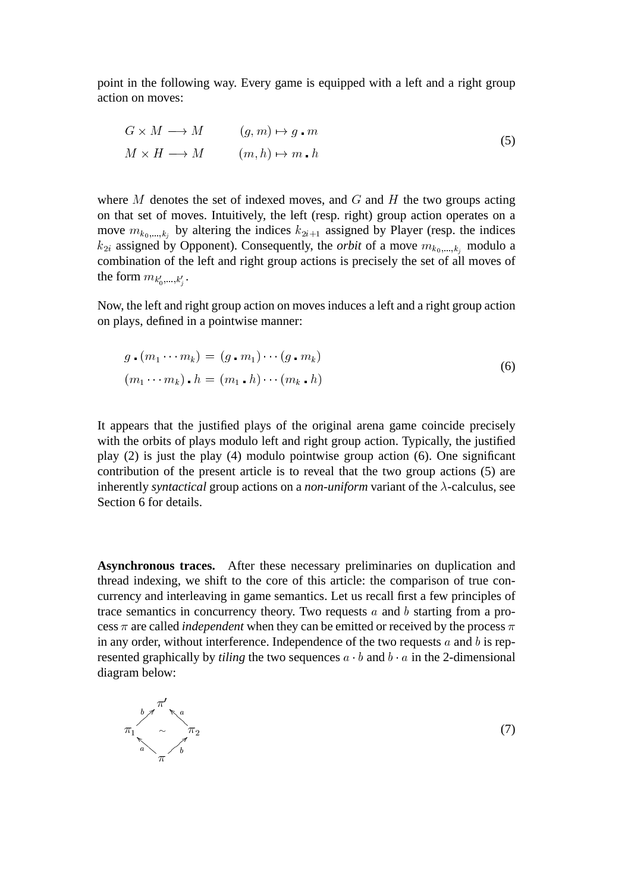point in the following way. Every game is equipped with a left and a right group action on moves:

$$
G \times M \longrightarrow M \qquad (g, m) \mapsto g \cdot m
$$
  

$$
M \times H \longrightarrow M \qquad (m, h) \mapsto m \cdot h
$$
 (5)

where  $M$  denotes the set of indexed moves, and  $G$  and  $H$  the two groups acting on that set of moves. Intuitively, the left (resp. right) group action operates on a move  $m_{k_0,...,k_j}$  by altering the indices  $k_{2i+1}$  assigned by Player (resp. the indices  $k_{2i}$  assigned by Opponent). Consequently, the *orbit* of a move  $m_{k_0,\dots,k_i}$  modulo a combination of the left and right group actions is precisely the set of all moves of the form  $m_{k'_0,\dots,k'_j}$ .  $\overline{a}$ j

Now, the left and right group action on moves induces a left and a right group action on plays, defined in a pointwise manner:

$$
g \cdot (m_1 \cdots m_k) = (g \cdot m_1) \cdots (g \cdot m_k)
$$
  

$$
(m_1 \cdots m_k) \cdot h = (m_1 \cdot h) \cdots (m_k \cdot h)
$$
 (6)

It appears that the justified plays of the original arena game coincide precisely with the orbits of plays modulo left and right group action. Typically, the justified play (2) is just the play (4) modulo pointwise group action (6). One significant contribution of the present article is to reveal that the two group actions (5) are inherently *syntactical* group actions on a *non-uniform* variant of the  $\lambda$ -calculus, see Section 6 for details.

**Asynchronous traces.** After these necessary preliminaries on duplication and thread indexing, we shift to the core of this article: the comparison of true concurrency and interleaving in game semantics. Let us recall first a few principles of trace semantics in concurrency theory. Two requests a and b starting from a process  $\pi$  are called *independent* when they can be emitted or received by the process  $\pi$ in any order, without interference. Independence of the two requests  $a$  and  $b$  is represented graphically by *tiling* the two sequences  $a \cdot b$  and  $b \cdot a$  in the 2-dimensional diagram below:

$$
\pi_1 \sim \frac{b \pi^2}{\pi} \sim \frac{\pi}{b}
$$

(7)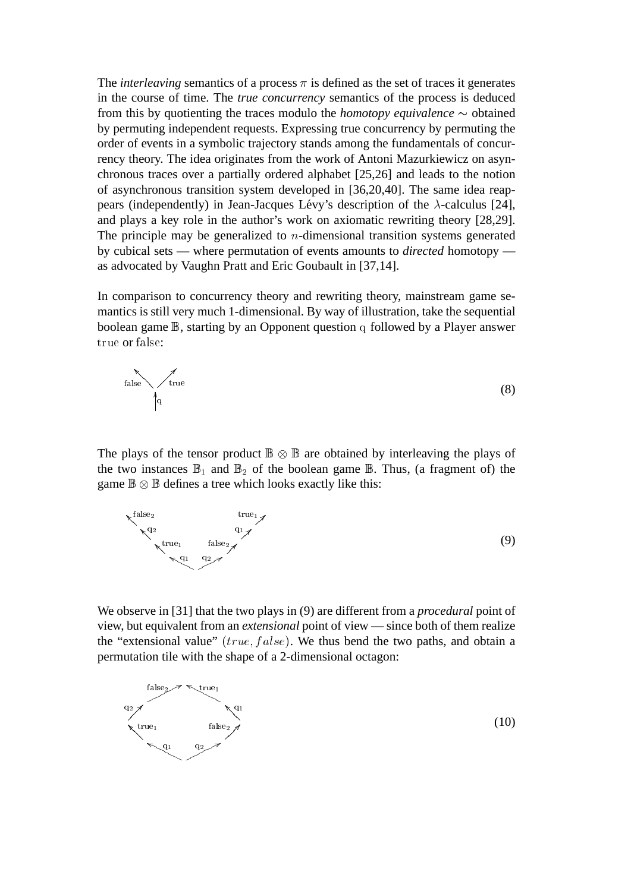The *interleaving* semantics of a process  $\pi$  is defined as the set of traces it generates in the course of time. The *true concurrency* semantics of the process is deduced from this by quotienting the traces modulo the *homotopy equivalence*  $\sim$  obtained by permuting independent requests. Expressing true concurrency by permuting the order of events in a symbolic trajectory stands among the fundamentals of concurrency theory. The idea originates from the work of Antoni Mazurkiewicz on asynchronous traces over a partially ordered alphabet [25,26] and leads to the notion of asynchronous transition system developed in [36,20,40]. The same idea reappears (independently) in Jean-Jacques Lévy's description of the  $\lambda$ -calculus [24], and plays a key role in the author's work on axiomatic rewriting theory [28,29]. The principle may be generalized to  $n$ -dimensional transition systems generated by cubical sets — where permutation of events amounts to *directed* homotopy as advocated by Vaughn Pratt and Eric Goubault in [37,14].

In comparison to concurrency theory and rewriting theory, mainstream game semantics is still very much 1-dimensional. By way of illustration, take the sequential boolean game B, starting by an Opponent question q followed by a Player answer true or false:

$$
f_{\text{alse}} \qquad \qquad \text{true} \tag{8}
$$

The plays of the tensor product  $\mathbb{B} \otimes \mathbb{B}$  are obtained by interleaving the plays of the two instances  $\mathbb{B}_1$  and  $\mathbb{B}_2$  of the boolean game  $\mathbb{B}$ . Thus, (a fragment of) the game  $\mathbb{B} \otimes \mathbb{B}$  defines a tree which looks exactly like this:



We observe in [31] that the two plays in (9) are different from a *procedural* point of view, but equivalent from an *extensional* point of view — since both of them realize the "extensional value" ( $true, false$ ). We thus bend the two paths, and obtain a permutation tile with the shape of a 2-dimensional octagon:

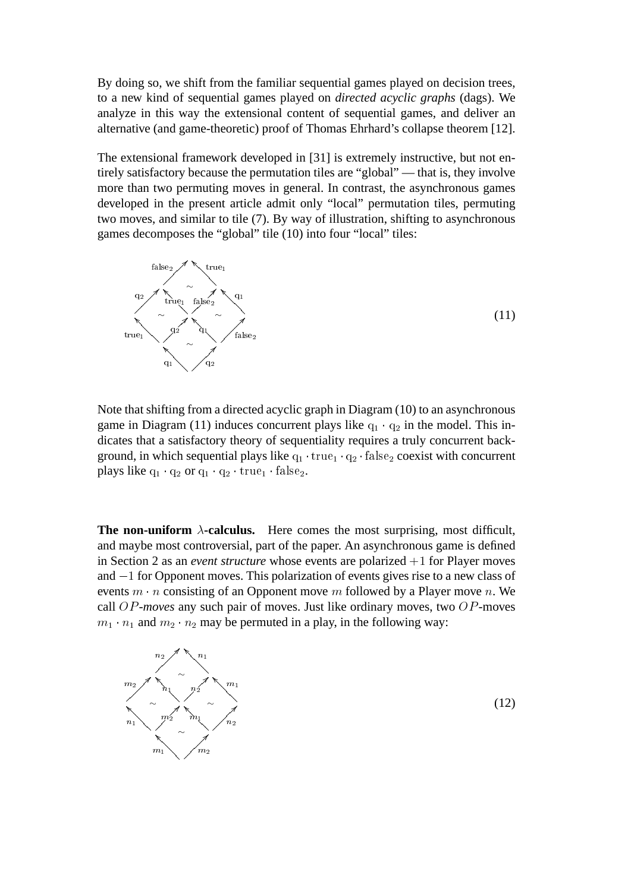By doing so, we shift from the familiar sequential games played on decision trees, to a new kind of sequential games played on *directed acyclic graphs* (dags). We analyze in this way the extensional content of sequential games, and deliver an alternative (and game-theoretic) proof of Thomas Ehrhard's collapse theorem [12].

The extensional framework developed in [31] is extremely instructive, but not entirely satisfactory because the permutation tiles are "global" — that is, they involve more than two permuting moves in general. In contrast, the asynchronous games developed in the present article admit only "local" permutation tiles, permuting two moves, and similar to tile (7). By way of illustration, shifting to asynchronous games decomposes the "global" tile (10) into four "local" tiles:



Note that shifting from a directed acyclic graph in Diagram (10) to an asynchronous game in Diagram (11) induces concurrent plays like  $q_1 \cdot q_2$  in the model. This indicates that a satisfactory theory of sequentiality requires a truly concurrent background, in which sequential plays like  $q_1 \cdot \text{true}_1 \cdot q_2 \cdot \text{false}_2$  coexist with concurrent plays like  $q_1 \cdot q_2$  or  $q_1 \cdot q_2 \cdot \text{true}_1 \cdot \text{false}_2$ .

**The non-uniform**  $\lambda$ -calculus. Here comes the most surprising, most difficult, and maybe most controversial, part of the paper. An asynchronous game is defined in Section 2 as an *event structure* whose events are polarized  $+1$  for Player moves and  $-1$  for Opponent moves. This polarization of events gives rise to a new class of events  $m \cdot n$  consisting of an Opponent move m followed by a Player move n. We call OP*-moves* any such pair of moves. Just like ordinary moves, two OP-moves  $m_1 \cdot n_1$  and  $m_2 \cdot n_2$  may be permuted in a play, in the following way:



(12)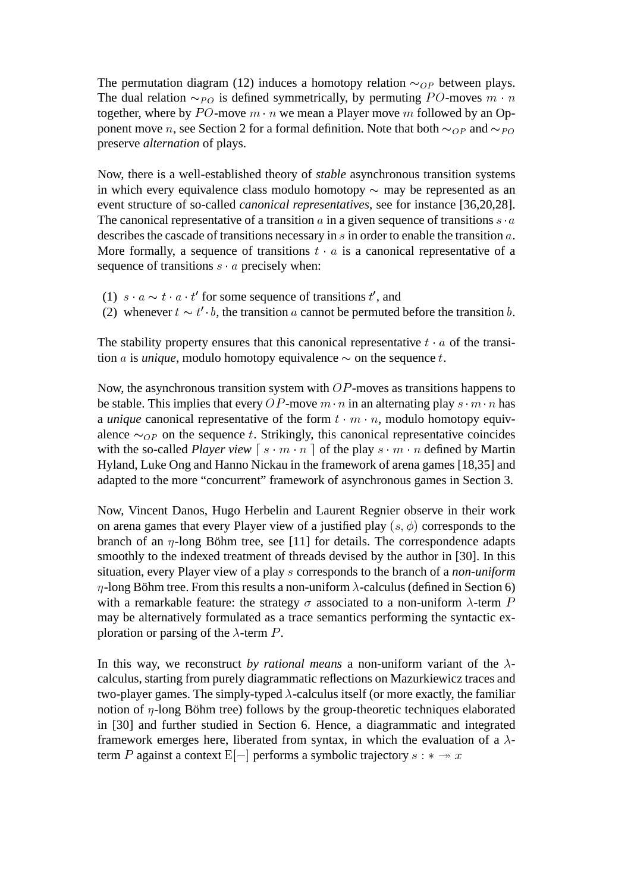The permutation diagram (12) induces a homotopy relation  $\sim_{OP}$  between plays. The dual relation  $\sim_{PO}$  is defined symmetrically, by permuting PO-moves  $m \cdot n$ together, where by PO-move  $m \cdot n$  we mean a Player move m followed by an Opponent move n, see Section 2 for a formal definition. Note that both  $\sim_{OP}$  and  $\sim_{PO}$ preserve *alternation* of plays.

Now, there is a well-established theory of *stable* asynchronous transition systems in which every equivalence class modulo homotopy  $\sim$  may be represented as an event structure of so-called *canonical representatives*, see for instance [36,20,28]. The canonical representative of a transition a in a given sequence of transitions  $s \cdot a$ describes the cascade of transitions necessary in s in order to enable the transition a. More formally, a sequence of transitions  $t \cdot a$  is a canonical representative of a sequence of transitions  $s \cdot a$  precisely when:

- (1)  $s \cdot a \sim t \cdot a \cdot t'$  for some sequence of transitions t', and
- (2) whenever  $t \sim t' \cdot b$ , the transition a cannot be permuted before the transition b.

The stability property ensures that this canonical representative  $t \cdot a$  of the transition *a* is *unique*, modulo homotopy equivalence  $\sim$  on the sequence t.

Now, the asynchronous transition system with  $OP$ -moves as transitions happens to be stable. This implies that every OP-move  $m \cdot n$  in an alternating play  $s \cdot m \cdot n$  has a *unique* canonical representative of the form  $t \cdot m \cdot n$ , modulo homotopy equivalence  $\sim_{OP}$  on the sequence t. Strikingly, this canonical representative coincides with the so-called *Player view*  $\begin{bmatrix} s \cdot m \cdot n \end{bmatrix}$  of the play  $s \cdot m \cdot n$  defined by Martin Hyland, Luke Ong and Hanno Nickau in the framework of arena games [18,35] and adapted to the more "concurrent" framework of asynchronous games in Section 3.

Now, Vincent Danos, Hugo Herbelin and Laurent Regnier observe in their work on arena games that every Player view of a justified play  $(s, \phi)$  corresponds to the branch of an  $\eta$ -long Böhm tree, see [11] for details. The correspondence adapts smoothly to the indexed treatment of threads devised by the author in [30]. In this situation, every Player view of a play s corresponds to the branch of a *non-uniform*  $\eta$ -long Böhm tree. From this results a non-uniform  $\lambda$ -calculus (defined in Section 6) with a remarkable feature: the strategy  $\sigma$  associated to a non-uniform  $\lambda$ -term P may be alternatively formulated as a trace semantics performing the syntactic exploration or parsing of the  $\lambda$ -term P.

In this way, we reconstruct *by rational means* a non-uniform variant of the  $\lambda$ calculus, starting from purely diagrammatic reflections on Mazurkiewicz traces and two-player games. The simply-typed  $\lambda$ -calculus itself (or more exactly, the familiar notion of  $\eta$ -long Böhm tree) follows by the group-theoretic techniques elaborated in [30] and further studied in Section 6. Hence, a diagrammatic and integrated framework emerges here, liberated from syntax, in which the evaluation of a  $\lambda$ term P against a context  $E[-]$  performs a symbolic trajectory  $s : * \rightarrow x$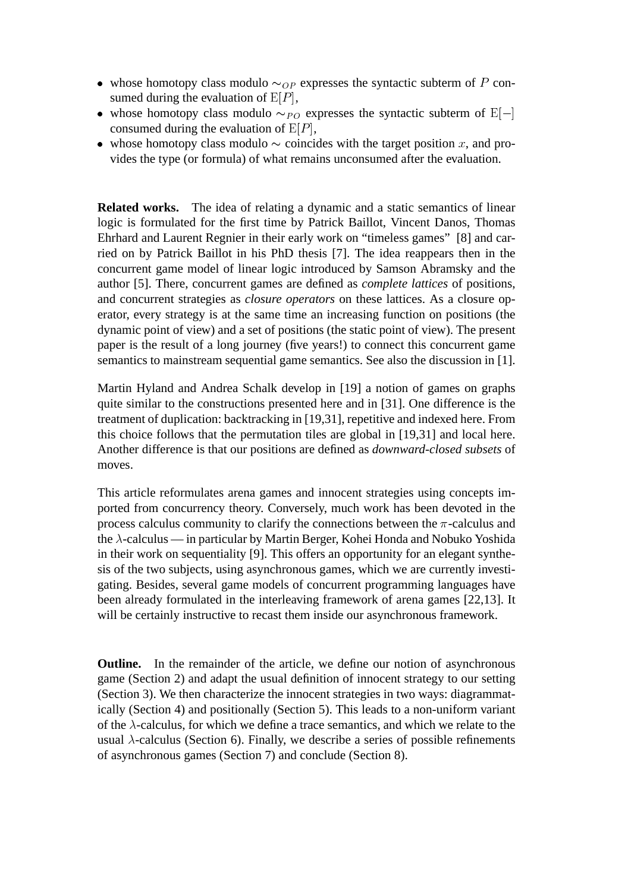- whose homotopy class modulo  $\sim_{OP}$  expresses the syntactic subterm of P consumed during the evaluation of  $E[P]$ ,
- whose homotopy class modulo  $\sim_{PO}$  expresses the syntactic subterm of E[-] consumed during the evaluation of  $E[P]$ ,
- whose homotopy class modulo  $\sim$  coincides with the target position x, and provides the type (or formula) of what remains unconsumed after the evaluation.

**Related works.** The idea of relating a dynamic and a static semantics of linear logic is formulated for the first time by Patrick Baillot, Vincent Danos, Thomas Ehrhard and Laurent Regnier in their early work on "timeless games" [8] and carried on by Patrick Baillot in his PhD thesis [7]. The idea reappears then in the concurrent game model of linear logic introduced by Samson Abramsky and the author [5]. There, concurrent games are defined as *complete lattices* of positions, and concurrent strategies as *closure operators* on these lattices. As a closure operator, every strategy is at the same time an increasing function on positions (the dynamic point of view) and a set of positions (the static point of view). The present paper is the result of a long journey (five years!) to connect this concurrent game semantics to mainstream sequential game semantics. See also the discussion in [1].

Martin Hyland and Andrea Schalk develop in [19] a notion of games on graphs quite similar to the constructions presented here and in [31]. One difference is the treatment of duplication: backtracking in [19,31], repetitive and indexed here. From this choice follows that the permutation tiles are global in [19,31] and local here. Another difference is that our positions are defined as *downward-closed subsets* of moves.

This article reformulates arena games and innocent strategies using concepts imported from concurrency theory. Conversely, much work has been devoted in the process calculus community to clarify the connections between the  $\pi$ -calculus and the  $\lambda$ -calculus — in particular by Martin Berger, Kohei Honda and Nobuko Yoshida in their work on sequentiality [9]. This offers an opportunity for an elegant synthesis of the two subjects, using asynchronous games, which we are currently investigating. Besides, several game models of concurrent programming languages have been already formulated in the interleaving framework of arena games [22,13]. It will be certainly instructive to recast them inside our asynchronous framework.

**Outline.** In the remainder of the article, we define our notion of asynchronous game (Section 2) and adapt the usual definition of innocent strategy to our setting (Section 3). We then characterize the innocent strategies in two ways: diagrammatically (Section 4) and positionally (Section 5). This leads to a non-uniform variant of the  $\lambda$ -calculus, for which we define a trace semantics, and which we relate to the usual  $\lambda$ -calculus (Section 6). Finally, we describe a series of possible refinements of asynchronous games (Section 7) and conclude (Section 8).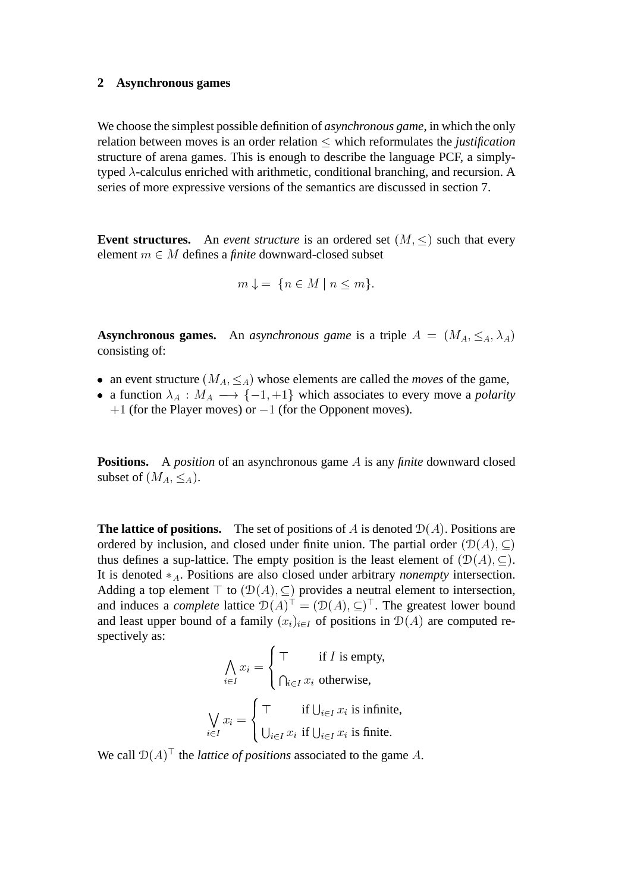#### **2 Asynchronous games**

We choose the simplest possible definition of *asynchronous game*, in which the only relation between moves is an order relation  $\leq$  which reformulates the *justification* structure of arena games. This is enough to describe the language PCF, a simplytyped  $\lambda$ -calculus enriched with arithmetic, conditional branching, and recursion. A series of more expressive versions of the semantics are discussed in section 7.

**Event structures.** An *event structure* is an ordered set  $(M, \leq)$  such that every element  $m \in M$  defines a *finite* downward-closed subset

$$
m \downarrow = \{ n \in M \mid n \le m \}.
$$

**Asynchronous games.** An *asynchronous game* is a triple  $A = (M_A, \leq_A, \lambda_A)$ consisting of:

- an event structure  $(M_A, \leq_A)$  whose elements are called the *moves* of the game,
- a function  $\lambda_A : M_A \longrightarrow \{-1, +1\}$  which associates to every move a *polarity*  $+1$  (for the Player moves) or  $-1$  (for the Opponent moves).

**Positions.** A *position* of an asynchronous game A is any *finite* downward closed subset of  $(M_A, \leq_A)$ .

**The lattice of positions.** The set of positions of A is denoted  $D(A)$ . Positions are ordered by inclusion, and closed under finite union. The partial order  $(\mathcal{D}(A), \subset)$ thus defines a sup-lattice. The empty position is the least element of  $(\mathcal{D}(A), \subseteq)$ . It is denoted  $*_A$ . Positions are also closed under arbitrary *nonempty* intersection. Adding a top element  $\top$  to  $(\mathcal{D}(A), \subseteq)$  provides a neutral element to intersection, and induces a *complete* lattice  $\mathcal{D}(A)^{\perp} = (\mathcal{D}(A), \subseteq)^{\perp}$ . The greatest lower bound and least upper bound of a family  $(x_i)_{i\in I}$  of positions in  $\mathcal{D}(A)$  are computed respectively as:

$$
\bigwedge_{i \in I} x_i = \begin{cases} \top & \text{if } I \text{ is empty,} \\ \bigcap_{i \in I} x_i \text{ otherwise,} \end{cases}
$$
\n
$$
\bigvee_{i \in I} x_i = \begin{cases} \top & \text{if } \bigcup_{i \in I} x_i \text{ is infinite,} \\ \bigcup_{i \in I} x_i \text{ if } \bigcup_{i \in I} x_i \text{ is finite.} \end{cases}
$$

We call  $D(A)^{\dagger}$  the *lattice of positions* associated to the game A.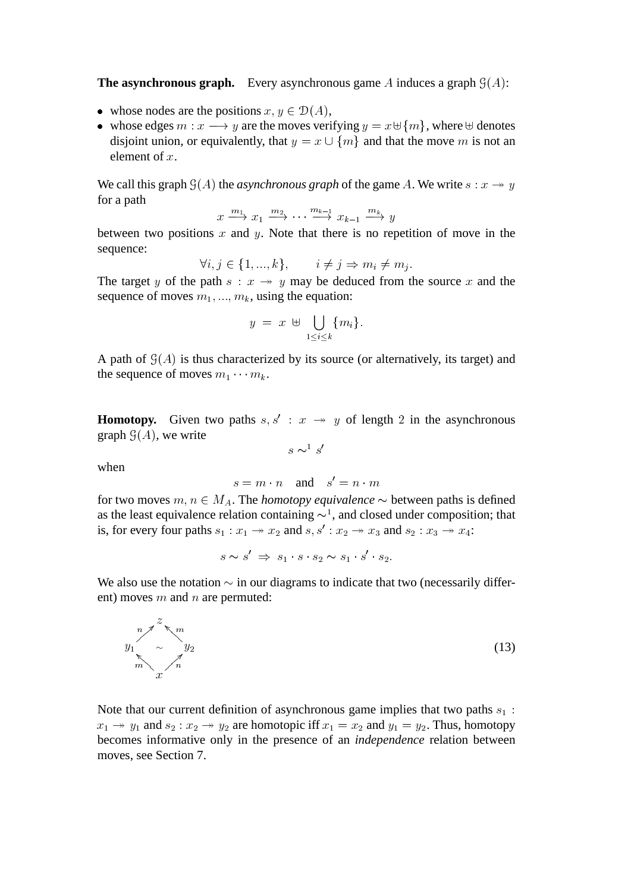**The asynchronous graph.** Every asynchronous game A induces a graph  $\mathcal{G}(A)$ :

- whose nodes are the positions  $x, y \in D(A)$ ,
- whose edges  $m : x \longrightarrow y$  are the moves verifying  $y = x \oplus \{m\}$ , where  $\oplus$  denotes disjoint union, or equivalently, that  $y = x \cup \{m\}$  and that the move m is not an element of  $x$ .

We call this graph  $\mathcal{G}(A)$  the *asynchronous graph* of the game A. We write  $s : x \rightarrow y$ for a path

$$
x \xrightarrow{m_1} x_1 \xrightarrow{m_2} \cdots \xrightarrow{m_{k-1}} x_{k-1} \xrightarrow{m_k} y
$$

between two positions  $x$  and  $y$ . Note that there is no repetition of move in the sequence:

$$
\forall i, j \in \{1, ..., k\}, \qquad i \neq j \Rightarrow m_i \neq m_j.
$$

The target y of the path  $s : x \rightarrow y$  may be deduced from the source x and the sequence of moves  $m_1, ..., m_k$ , using the equation:

$$
y = x \ \uplus \ \bigcup_{1 \leq i \leq k} \{m_i\}.
$$

A path of  $\mathcal{G}(A)$  is thus characterized by its source (or alternatively, its target) and the sequence of moves  $m_1 \cdots m_k$ .

**Homotopy.** Given two paths  $s, s' : x \rightarrow y$  of length 2 in the asynchronous graph  $\mathcal{G}(A)$ , we write

when

$$
s = m \cdot n \quad \text{and} \quad s' = n \cdot m
$$

for two moves  $m, n \in M_A$ . The *homotopy equivalence*  $\sim$  between paths is defined as the least equivalence relation containing  $\sim$ <sup>1</sup>, and closed under composition; that is, for every four paths  $s_1 : x_1 \rightarrow x_2$  and  $s, s' : x_2 \rightarrow x_3$  and  $s_2 : x_3 \rightarrow x_4$ :

$$
s \sim s' \Rightarrow s_1 \cdot s \cdot s_2 \sim s_1 \cdot s' \cdot s_2.
$$

We also use the notation  $\sim$  in our diagrams to indicate that two (necessarily different) moves  $m$  and  $n$  are permuted:

z  $y_1$  $\tilde{\ }$  $\sum_{n=1}^{\infty}$   $\sum_{y_2}^{\infty}$  $\bigwedge^m$  $\sum_{m=-\infty}^{\infty}$   $\frac{y_2}{n}$  (13)

Note that our current definition of asynchronous game implies that two paths  $s_1$ :  $x_1 \rightarrow y_1$  and  $s_2 : x_2 \rightarrow y_2$  are homotopic iff  $x_1 = x_2$  and  $y_1 = y_2$ . Thus, homotopy becomes informative only in the presence of an *independence* relation between moves, see Section 7.

$$
s \sim^1 s'
$$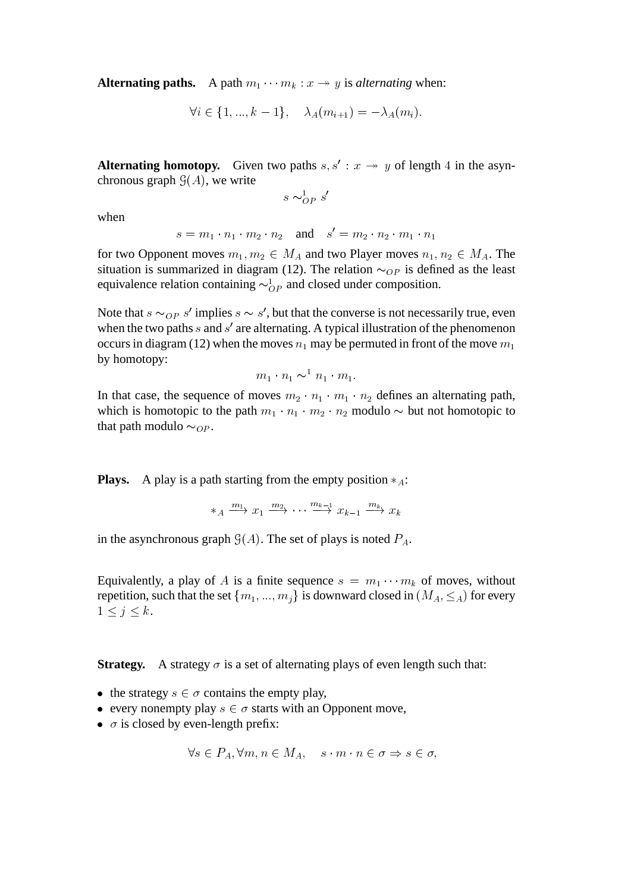**Alternating paths.** A path  $m_1 \cdots m_k : x \rightarrow y$  is *alternating* when:

$$
\forall i \in \{1, ..., k-1\}, \quad \lambda_A(m_{i+1}) = -\lambda_A(m_i).
$$

**Alternating homotopy.** Given two paths  $s, s' : x \rightarrow y$  of length 4 in the asynchronous graph  $\mathcal{G}(A)$ , we write

$$
s \sim_{OP}^1 s'
$$

when

$$
s = m_1 \cdot n_1 \cdot m_2 \cdot n_2 \quad \text{and} \quad s' = m_2 \cdot n_2 \cdot m_1 \cdot n_1
$$

for two Opponent moves  $m_1, m_2 \in M_A$  and two Player moves  $n_1, n_2 \in M_A$ . The situation is summarized in diagram (12). The relation  $\sim_{OP}$  is defined as the least equivalence relation containing  $\sim_{OP}^1$  and closed under composition.

Note that  $s \sim_{OP} s'$  implies  $s \sim s'$ , but that the converse is not necessarily true, even when the two paths  $s$  and  $s'$  are alternating. A typical illustration of the phenomenon occurs in diagram (12) when the moves  $n_1$  may be permuted in front of the move  $m_1$ by homotopy:

$$
m_1 \cdot n_1 \sim^{\perp} n_1 \cdot m_1.
$$

In that case, the sequence of moves  $m_2 \cdot n_1 \cdot m_1 \cdot n_2$  defines an alternating path, which is homotopic to the path  $m_1 \cdot n_1 \cdot m_2 \cdot n_2$  modulo  $\sim$  but not homotopic to that path modulo  $\sim_{OP}$ .

**Plays.** A play is a path starting from the empty position  $*_A$ :

$$
\ast_A \xrightarrow{m_1} x_1 \xrightarrow{m_2} \cdots \xrightarrow{m_{k-1}} x_{k-1} \xrightarrow{m_k} x_k
$$

in the asynchronous graph  $\mathcal{G}(A)$ . The set of plays is noted  $P_A$ .

Equivalently, a play of A is a finite sequence  $s = m_1 \cdots m_k$  of moves, without repetition, such that the set  $\{m_1, ..., m_j\}$  is downward closed in  $(M_A, \leq_A)$  for every  $1 \le j \le k$ .

**Strategy.** A strategy  $\sigma$  is a set of alternating plays of even length such that:

- the strategy  $s \in \sigma$  contains the empty play,
- every nonempty play  $s \in \sigma$  starts with an Opponent move,
- $\sigma$  is closed by even-length prefix:

$$
\forall s \in P_A, \forall m, n \in M_A, \quad s \cdot m \cdot n \in \sigma \Rightarrow s \in \sigma,
$$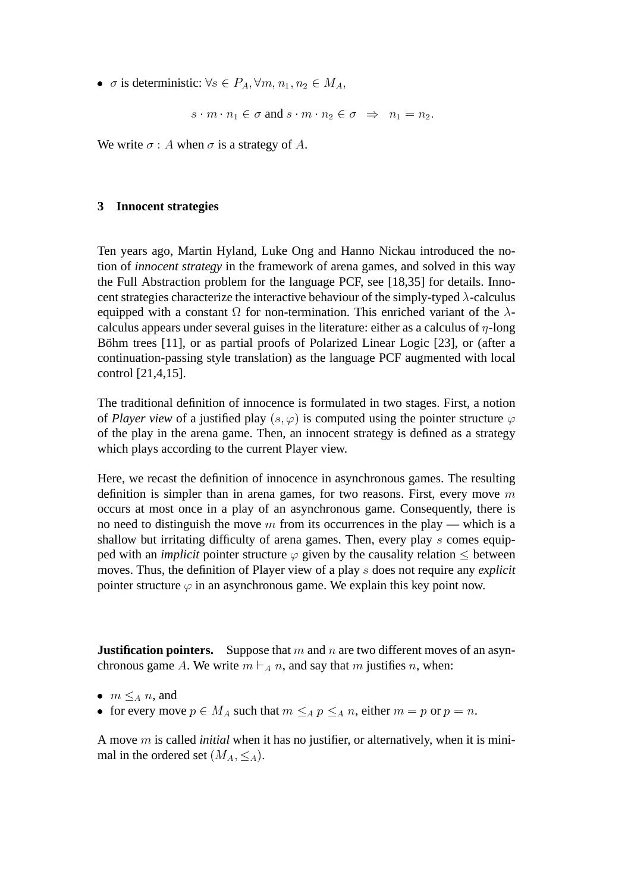•  $\sigma$  is deterministic:  $\forall s \in P_A$ ,  $\forall m, n_1, n_2 \in M_A$ ,

$$
s \cdot m \cdot n_1 \in \sigma \text{ and } s \cdot m \cdot n_2 \in \sigma \implies n_1 = n_2.
$$

We write  $\sigma : A$  when  $\sigma$  is a strategy of A.

## **3 Innocent strategies**

Ten years ago, Martin Hyland, Luke Ong and Hanno Nickau introduced the notion of *innocent strategy* in the framework of arena games, and solved in this way the Full Abstraction problem for the language PCF, see [18,35] for details. Innocent strategies characterize the interactive behaviour of the simply-typed  $\lambda$ -calculus equipped with a constant  $\Omega$  for non-termination. This enriched variant of the  $\lambda$ calculus appears under several guises in the literature: either as a calculus of  $\eta$ -long Böhm trees [11], or as partial proofs of Polarized Linear Logic [23], or (after a continuation-passing style translation) as the language PCF augmented with local control [21,4,15].

The traditional definition of innocence is formulated in two stages. First, a notion of *Player view* of a justified play  $(s, \varphi)$  is computed using the pointer structure  $\varphi$ of the play in the arena game. Then, an innocent strategy is defined as a strategy which plays according to the current Player view.

Here, we recast the definition of innocence in asynchronous games. The resulting definition is simpler than in arena games, for two reasons. First, every move  $m$ occurs at most once in a play of an asynchronous game. Consequently, there is no need to distinguish the move  $m$  from its occurrences in the play — which is a shallow but irritating difficulty of arena games. Then, every play s comes equipped with an *implicit* pointer structure  $\varphi$  given by the causality relation  $\leq$  between moves. Thus, the definition of Player view of a play s does not require any *explicit* pointer structure  $\varphi$  in an asynchronous game. We explain this key point now.

**Justification pointers.** Suppose that m and n are two different moves of an asynchronous game A. We write  $m \vdash_A n$ , and say that m justifies n, when:

- $m \leq_A n$ , and
- for every move  $p \in M_A$  such that  $m \leq_A p \leq_A n$ , either  $m = p$  or  $p = n$ .

A move m is called *initial* when it has no justifier, or alternatively, when it is minimal in the ordered set  $(M_A, \leq_A)$ .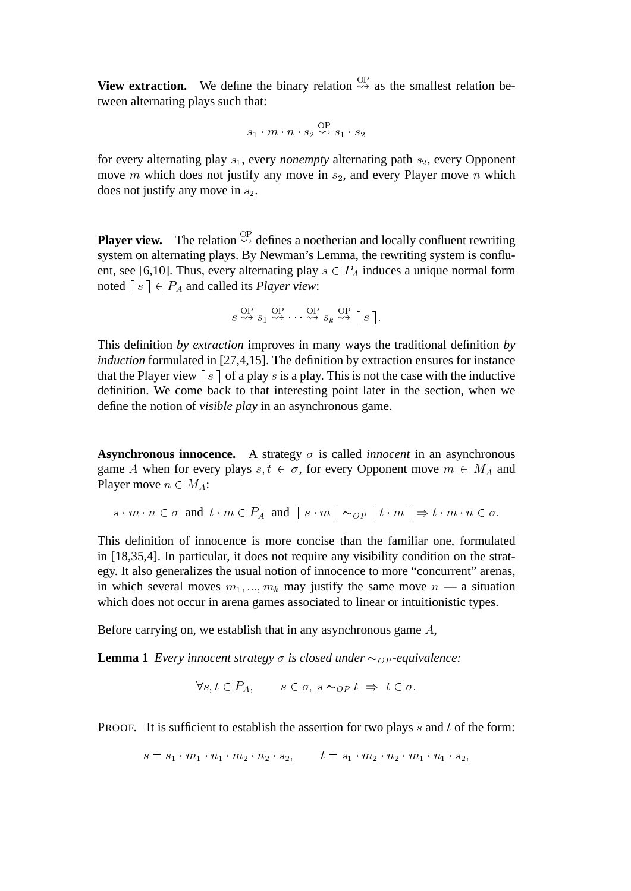**View extraction.** We define the binary relation  $\overset{OP}{\rightsquigarrow}$  as the smallest relation between alternating plays such that:

$$
s_1 \cdot m \cdot n \cdot s_2 \overset{\text{OP}}{\rightsquigarrow} s_1 \cdot s_2
$$

for every alternating play  $s_1$ , every *nonempty* alternating path  $s_2$ , every Opponent move  $m$  which does not justify any move in  $s_2$ , and every Player move  $n$  which does not justify any move in  $s_2$ .

**Player view.** The relation  $\overset{\text{OP}}{\leadsto}$  defines a noetherian and locally confluent rewriting system on alternating plays. By Newman's Lemma, the rewriting system is confluent, see [6,10]. Thus, every alternating play  $s \in P_A$  induces a unique normal form noted  $\lceil s \rceil \in P_A$  and called its *Player view*:

$$
s \stackrel{\text{OP}}{\leadsto} s_1 \stackrel{\text{OP}}{\leadsto} \cdots \stackrel{\text{OP}}{\leadsto} s_k \stackrel{\text{OP}}{\leadsto} [s].
$$

This definition *by extraction* improves in many ways the traditional definition *by induction* formulated in [27,4,15]. The definition by extraction ensures for instance that the Player view  $\lceil s \rceil$  of a play s is a play. This is not the case with the inductive definition. We come back to that interesting point later in the section, when we define the notion of *visible play* in an asynchronous game.

**Asynchronous innocence.** A strategy  $\sigma$  is called *innocent* in an asynchronous game A when for every plays  $s, t \in \sigma$ , for every Opponent move  $m \in M_A$  and Player move  $n \in M_A$ :

$$
s \cdot m \cdot n \in \sigma \text{ and } t \cdot m \in P_A \text{ and } \lceil s \cdot m \rceil \sim_{OP} \lceil t \cdot m \rceil \Rightarrow t \cdot m \cdot n \in \sigma.
$$

This definition of innocence is more concise than the familiar one, formulated in [18,35,4]. In particular, it does not require any visibility condition on the strategy. It also generalizes the usual notion of innocence to more "concurrent" arenas, in which several moves  $m_1, ..., m_k$  may justify the same move  $n - a$  situation which does not occur in arena games associated to linear or intuitionistic types.

Before carrying on, we establish that in any asynchronous game A,

**Lemma 1** *Every innocent strategy*  $\sigma$  *is closed under*  $\sim_{OP}$ -equivalence:

$$
\forall s, t \in P_A, \qquad s \in \sigma, \ s \sim_{OP} t \ \Rightarrow \ t \in \sigma.
$$

**PROOF.** It is sufficient to establish the assertion for two plays  $s$  and  $t$  of the form:

$$
s = s_1 \cdot m_1 \cdot n_1 \cdot m_2 \cdot n_2 \cdot s_2, \qquad t = s_1 \cdot m_2 \cdot n_2 \cdot m_1 \cdot n_1 \cdot s_2,
$$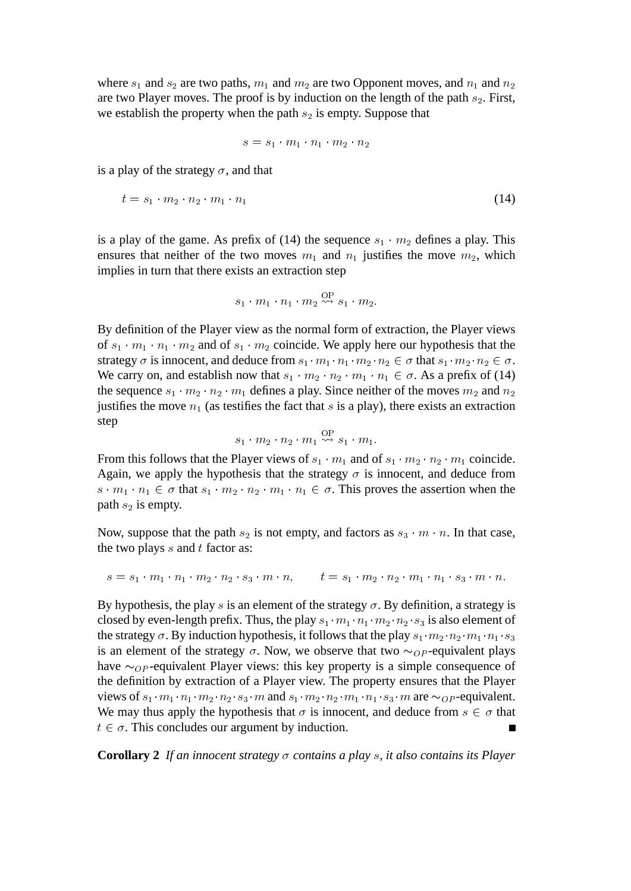where  $s_1$  and  $s_2$  are two paths,  $m_1$  and  $m_2$  are two Opponent moves, and  $n_1$  and  $n_2$ are two Player moves. The proof is by induction on the length of the path  $s_2$ . First, we establish the property when the path  $s_2$  is empty. Suppose that

$$
s=s_1\cdot m_1\cdot n_1\cdot m_2\cdot n_2
$$

is a play of the strategy  $\sigma$ , and that

$$
t = s_1 \cdot m_2 \cdot n_2 \cdot m_1 \cdot n_1 \tag{14}
$$

is a play of the game. As prefix of (14) the sequence  $s_1 \cdot m_2$  defines a play. This ensures that neither of the two moves  $m_1$  and  $n_1$  justifies the move  $m_2$ , which implies in turn that there exists an extraction step

$$
s_1 \cdot m_1 \cdot n_1 \cdot m_2 \overset{\text{OP}}{\rightsquigarrow} s_1 \cdot m_2.
$$

By definition of the Player view as the normal form of extraction, the Player views of  $s_1 \cdot m_1 \cdot n_1 \cdot m_2$  and of  $s_1 \cdot m_2$  coincide. We apply here our hypothesis that the strategy  $\sigma$  is innocent, and deduce from  $s_1 \cdot m_1 \cdot n_1 \cdot m_2 \cdot n_2 \in \sigma$  that  $s_1 \cdot m_2 \cdot n_2 \in \sigma$ . We carry on, and establish now that  $s_1 \cdot m_2 \cdot n_2 \cdot m_1 \cdot n_1 \in \sigma$ . As a prefix of (14) the sequence  $s_1 \cdot m_2 \cdot n_2 \cdot m_1$  defines a play. Since neither of the moves  $m_2$  and  $n_2$ justifies the move  $n_1$  (as testifies the fact that s is a play), there exists an extraction step

$$
s_1 \cdot m_2 \cdot n_2 \cdot m_1 \stackrel{\text{OP}}{\rightsquigarrow} s_1 \cdot m_1.
$$

From this follows that the Player views of  $s_1 \cdot m_1$  and of  $s_1 \cdot m_2 \cdot n_2 \cdot m_1$  coincide. Again, we apply the hypothesis that the strategy  $\sigma$  is innocent, and deduce from  $s \cdot m_1 \cdot n_1 \in \sigma$  that  $s_1 \cdot m_2 \cdot n_2 \cdot m_1 \cdot n_1 \in \sigma$ . This proves the assertion when the path  $s_2$  is empty.

Now, suppose that the path  $s_2$  is not empty, and factors as  $s_3 \cdot m \cdot n$ . In that case, the two plays  $s$  and  $t$  factor as:

$$
s = s_1 \cdot m_1 \cdot n_1 \cdot m_2 \cdot n_2 \cdot s_3 \cdot m \cdot n, \qquad t = s_1 \cdot m_2 \cdot n_2 \cdot m_1 \cdot n_1 \cdot s_3 \cdot m \cdot n.
$$

By hypothesis, the play s is an element of the strategy  $\sigma$ . By definition, a strategy is closed by even-length prefix. Thus, the play  $s_1 \cdot m_1 \cdot n_1 \cdot m_2 \cdot n_2 \cdot s_3$  is also element of the strategy  $\sigma$ . By induction hypothesis, it follows that the play  $s_1 \cdot m_2 \cdot n_2 \cdot m_1 \cdot n_1 \cdot s_3$ is an element of the strategy  $\sigma$ . Now, we observe that two  $\sim_{OP}$ -equivalent plays have  $\sim_{OP}$ -equivalent Player views: this key property is a simple consequence of the definition by extraction of a Player view. The property ensures that the Player views of  $s_1 \cdot m_1 \cdot n_1 \cdot m_2 \cdot n_2 \cdot s_3 \cdot m$  and  $s_1 \cdot m_2 \cdot n_2 \cdot m_1 \cdot n_1 \cdot s_3 \cdot m$  are  $\sim_{OP}$ -equivalent. We may thus apply the hypothesis that  $\sigma$  is innocent, and deduce from  $s \in \sigma$  that  $t \in \sigma$ . This concludes our argument by induction.

**Corollary 2** If an innocent strategy  $\sigma$  contains a play  $s$ , it also contains its Player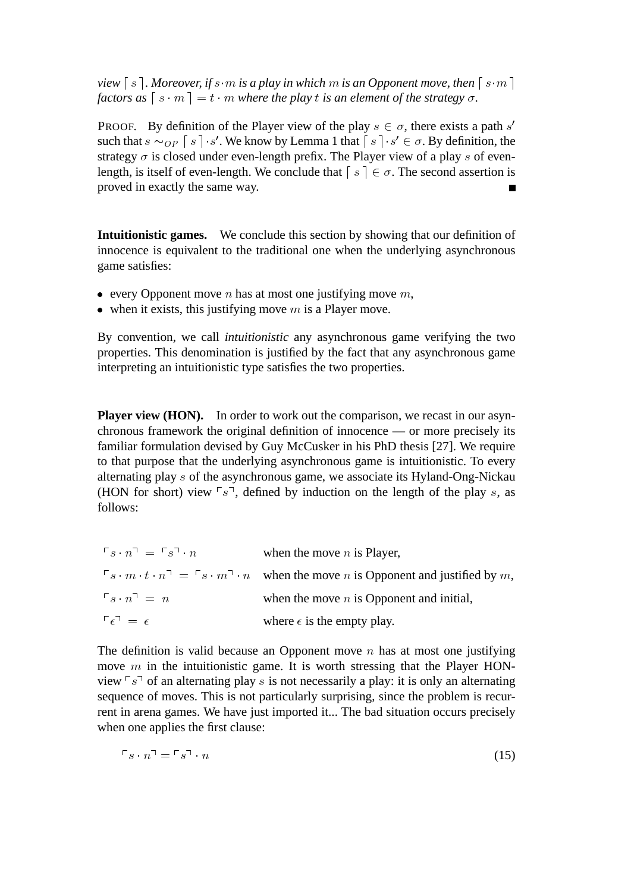*view*  $\lceil s \rceil$ *. Moreover, if* s  $\lceil m \rceil$  *is a play in which*  $m$  *is an Opponent move, then*  $\lceil s \cdot m \rceil$ *factors as*  $\lceil s \cdot m \rceil = t \cdot m$  *where the play t is an element of the strategy*  $\sigma$ *.* 

**PROOF.** By definition of the Player view of the play  $s \in \sigma$ , there exists a path s' such that  $s \sim_{OP} \lceil s \rceil \cdot s'$ . We know by Lemma 1 that  $\lceil s \rceil \cdot s' \in \sigma$ . By definition, the strategy  $\sigma$  is closed under even-length prefix. The Player view of a play s of evenlength, is itself of even-length. We conclude that  $\lceil s \rceil \in \sigma$ . The second assertion is proved in exactly the same way.

**Intuitionistic games.** We conclude this section by showing that our definition of innocence is equivalent to the traditional one when the underlying asynchronous game satisfies:

- every Opponent move *n* has at most one justifying move  $m$ ,
- when it exists, this justifying move  $m$  is a Player move.

By convention, we call *intuitionistic* any asynchronous game verifying the two properties. This denomination is justified by the fact that any asynchronous game interpreting an intuitionistic type satisfies the two properties.

**Player view (HON).** In order to work out the comparison, we recast in our asynchronous framework the original definition of innocence — or more precisely its familiar formulation devised by Guy McCusker in his PhD thesis [27]. We require to that purpose that the underlying asynchronous game is intuitionistic. To every alternating play s of the asynchronous game, we associate its Hyland-Ong-Nickau (HON for short) view  $\lceil s \rceil$ , defined by induction on the length of the play s, as follows:

| $\Gamma_s \cdot n$ <sup><math>\Box</math></sup> = $\Gamma_s \Box \cdot n$ | when the move $n$ is Player,                                                                                                |
|---------------------------------------------------------------------------|-----------------------------------------------------------------------------------------------------------------------------|
|                                                                           | $\lceil s \cdot m \cdot t \cdot n \rceil = \lceil s \cdot m \rceil \cdot n$ when the move n is Opponent and justified by m. |
| $\Gamma_s \cdot n^{\square} = n$                                          | when the move $n$ is Opponent and initial,                                                                                  |
| $\lceil \epsilon \rceil = \epsilon$                                       | where $\epsilon$ is the empty play.                                                                                         |

The definition is valid because an Opponent move  $n$  has at most one justifying move  $m$  in the intuitionistic game. It is worth stressing that the Player HONview  $\lceil s \rceil$  of an alternating play s is not necessarily a play: it is only an alternating sequence of moves. This is not particularly surprising, since the problem is recurrent in arena games. We have just imported it... The bad situation occurs precisely when one applies the first clause:

$$
\Gamma s \cdot n^{\mathfrak{I}} = \Gamma s^{\mathfrak{I}} \cdot n \tag{15}
$$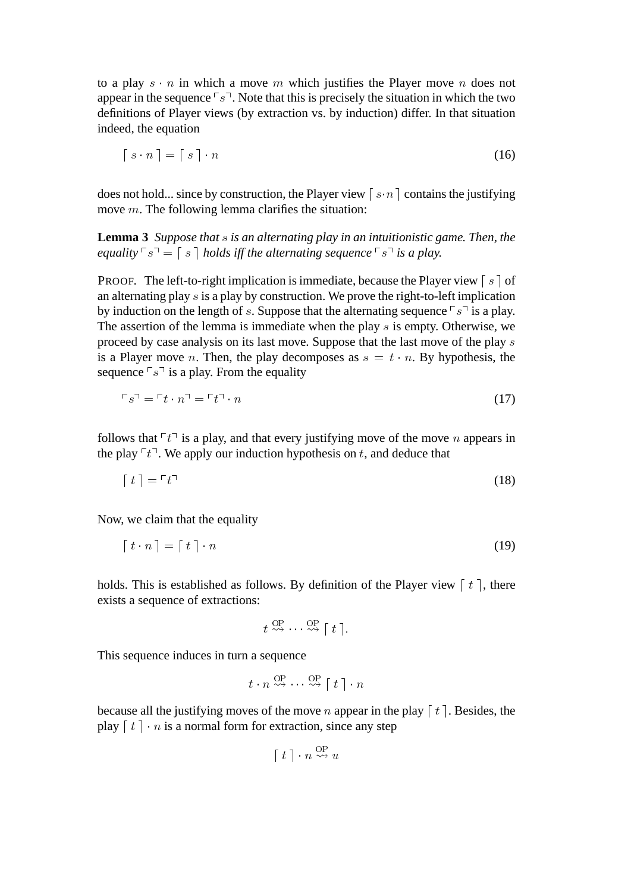to a play  $s \cdot n$  in which a move m which justifies the Player move n does not appear in the sequence  $\lceil s \rceil$ . Note that this is precisely the situation in which the two definitions of Player views (by extraction vs. by induction) differ. In that situation indeed, the equation

$$
\lceil s \cdot n \rceil = \lceil s \rceil \cdot n \tag{16}
$$

does not hold... since by construction, the Player view  $\lceil s \cdot n \rceil$  contains the justifying move m. The following lemma clarifies the situation:

**Lemma 3** *Suppose that* s *is an alternating play in an intuitionistic game. Then, the equality*  $\lceil s \rceil = \lceil s \rceil$  *holds iff the alternating sequence*  $\lceil s \rceil$  *is a play.* 

PROOF. The left-to-right implication is immediate, because the Player view  $\lceil s \rceil$  of an alternating play s is a play by construction. We prove the right-to-left implication by induction on the length of s. Suppose that the alternating sequence  $\lceil s \rceil$  is a play. The assertion of the lemma is immediate when the play s is empty. Otherwise, we proceed by case analysis on its last move. Suppose that the last move of the play s is a Player move *n*. Then, the play decomposes as  $s = t \cdot n$ . By hypothesis, the sequence  $\lceil s \rceil$  is a play. From the equality

$$
\Gamma s \Gamma = \Gamma t \cdot n \Gamma = \Gamma t \Gamma \cdot n \tag{17}
$$

follows that  $\lceil t \rceil$  is a play, and that every justifying move of the move n appears in the play  $\lceil t \rceil$ . We apply our induction hypothesis on t, and deduce that

$$
\lceil t \rceil = \lceil t \rceil \tag{18}
$$

Now, we claim that the equality

$$
\lceil t \cdot n \rceil = \lceil t \rceil \cdot n \tag{19}
$$

holds. This is established as follows. By definition of the Player view  $\lceil t \rceil$ , there exists a sequence of extractions:

$$
t \stackrel{\text{OP}}{\leadsto} \cdots \stackrel{\text{OP}}{\leadsto} [t].
$$

This sequence induces in turn a sequence

$$
t \cdot n \stackrel{\text{OP}}{\rightsquigarrow} \cdots \stackrel{\text{OP}}{\rightsquigarrow} [t] \cdot n
$$

because all the justifying moves of the move n appear in the play  $\lceil t \rceil$ . Besides, the play  $\lceil t \rceil \cdot n$  is a normal form for extraction, since any step

$$
\lceil t \rceil \cdot n \overset{\text{OP}}{\rightsquigarrow} u
$$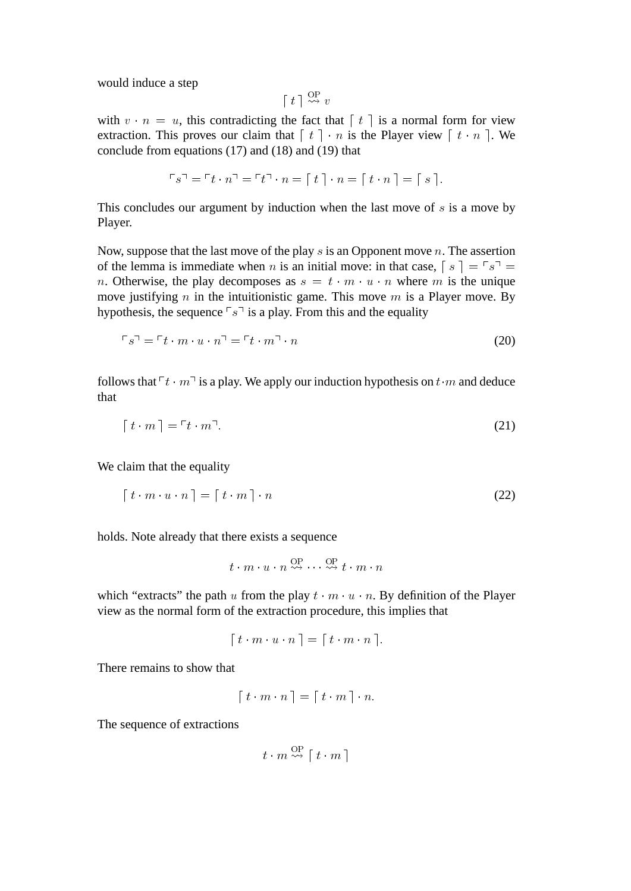would induce a step

$$
\lceil t \rceil \overset{\text{OP}}{\leadsto} v
$$

with  $v \cdot n = u$ , this contradicting the fact that  $\lceil t \rceil$  is a normal form for view extraction. This proves our claim that  $\lceil t \rceil \cdot n$  is the Player view  $\lceil t \cdot n \rceil$ . We conclude from equations (17) and (18) and (19) that

$$
\ulcorner s \urcorner = \ulcorner t \cdot n \urcorner = \ulcorner t \urcorner \cdot n = [t \urcorner \cdot n = [t \cdot n \urcorner] = [s \urcorner].
$$

This concludes our argument by induction when the last move of  $s$  is a move by Player.

Now, suppose that the last move of the play  $s$  is an Opponent move  $n$ . The assertion of the lemma is immediate when n is an initial move: in that case,  $[a] = \lceil s \rceil =$ n. Otherwise, the play decomposes as  $s = t \cdot m \cdot u \cdot n$  where m is the unique move justifying n in the intuitionistic game. This move m is a Player move. By hypothesis, the sequence  $\lceil s \rceil$  is a play. From this and the equality

$$
\Gamma s^{\mathfrak{I}} = \Gamma t \cdot m \cdot u \cdot n^{\mathfrak{I}} = \Gamma t \cdot m^{\mathfrak{I}} \cdot n \tag{20}
$$

follows that  $\lceil t \cdot m \rceil$  is a play. We apply our induction hypothesis on  $t \cdot m$  and deduce that

$$
[t \cdot m] = [t \cdot m]. \tag{21}
$$

We claim that the equality

$$
[t \cdot m \cdot u \cdot n] = [t \cdot m] \cdot n \tag{22}
$$

holds. Note already that there exists a sequence

$$
t \cdot m \cdot u \cdot n \stackrel{\text{OP}}{\leadsto} \cdots \stackrel{\text{OP}}{\leadsto} t \cdot m \cdot n
$$

which "extracts" the path u from the play  $t \cdot m \cdot u \cdot n$ . By definition of the Player view as the normal form of the extraction procedure, this implies that

$$
\lceil t \cdot m \cdot u \cdot n \rceil = \lceil t \cdot m \cdot n \rceil.
$$

There remains to show that

$$
\lceil t \cdot m \cdot n \rceil = \lceil t \cdot m \rceil \cdot n.
$$

The sequence of extractions

$$
t \cdot m \stackrel{\text{OP}}{\leadsto} \lceil t \cdot m \rceil
$$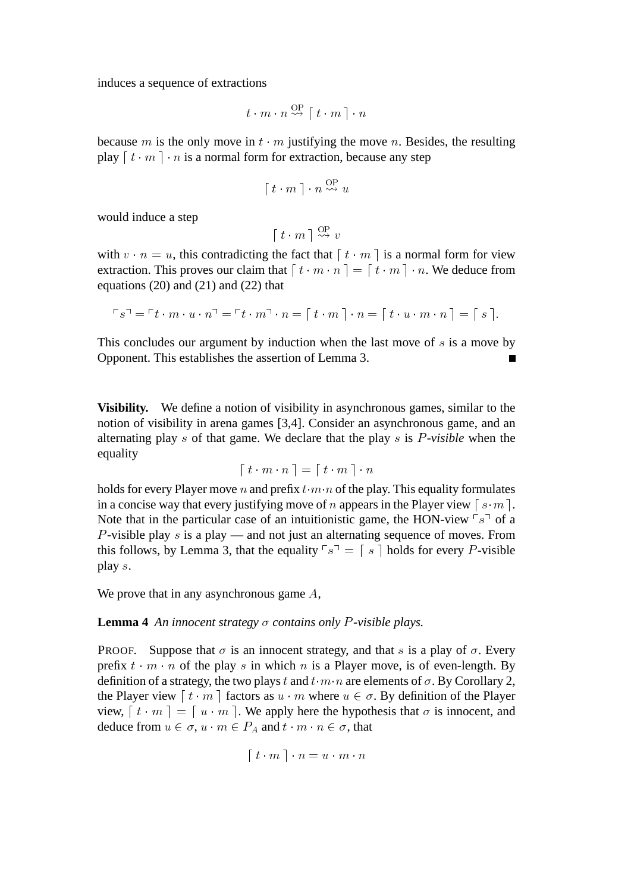induces a sequence of extractions

$$
t \cdot m \cdot n \stackrel{\text{OP}}{\leadsto} \lceil t \cdot m \rceil \cdot n
$$

because m is the only move in  $t \cdot m$  justifying the move n. Besides, the resulting play  $\lceil t \cdot m \rceil \cdot n$  is a normal form for extraction, because any step

$$
[t \cdot m] \cdot n \overset{\text{OP}}{\rightsquigarrow} u
$$

would induce a step

$$
\left[ \ t \cdot m \ \right] \overset{\text{OP}}{\leadsto} \ v
$$

with  $v \cdot n = u$ , this contradicting the fact that  $\lceil t \cdot m \rceil$  is a normal form for view extraction. This proves our claim that  $\begin{bmatrix} t \cdot m \cdot n \end{bmatrix} = \begin{bmatrix} t \cdot m \end{bmatrix} \cdot n$ . We deduce from equations  $(20)$  and  $(21)$  and  $(22)$  that

$$
\ulcorner s \urcorner = \ulcorner t \cdot m \cdot u \cdot n \urcorner = \ulcorner t \cdot m \urcorner \cdot n = \ulcorner t \cdot m \urcorner \cdot n = \ulcorner t \cdot u \cdot m \cdot n \urcorner = \ulcorner s \urcorner.
$$

This concludes our argument by induction when the last move of  $s$  is a move by Opponent. This establishes the assertion of Lemma 3.

**Visibility.** We define a notion of visibility in asynchronous games, similar to the notion of visibility in arena games [3,4]. Consider an asynchronous game, and an alternating play s of that game. We declare that the play s is P*-visible* when the equality

$$
\lceil t \cdot m \cdot n \rceil = \lceil t \cdot m \rceil \cdot n
$$

holds for every Player move n and prefix  $t \cdot m \cdot n$  of the play. This equality formulates in a concise way that every justifying move of n appears in the Player view  $\lceil s \cdot m \rceil$ . Note that in the particular case of an intuitionistic game, the HON-view  $\lceil s \rceil$  of a P-visible play s is a play — and not just an alternating sequence of moves. From this follows, by Lemma 3, that the equality  $\lceil s \rceil = \lceil s \rceil$  holds for every P-visible play s.

We prove that in any asynchronous game A,

**Lemma 4** An innocent strategy  $\sigma$  contains only P-visible plays.

**PROOF.** Suppose that  $\sigma$  is an innocent strategy, and that s is a play of  $\sigma$ . Every prefix  $t \cdot m \cdot n$  of the play s in which n is a Player move, is of even-length. By definition of a strategy, the two plays t and  $t \cdot m \cdot n$  are elements of  $\sigma$ . By Corollary 2, the Player view  $\lceil t \cdot m \rceil$  factors as  $u \cdot m$  where  $u \in \sigma$ . By definition of the Player view,  $\lceil t \cdot m \rceil = \lceil u \cdot m \rceil$ . We apply here the hypothesis that  $\sigma$  is innocent, and deduce from  $u \in \sigma$ ,  $u \cdot m \in P_A$  and  $t \cdot m \cdot n \in \sigma$ , that

$$
\lceil t \cdot m \rceil \cdot n = u \cdot m \cdot n
$$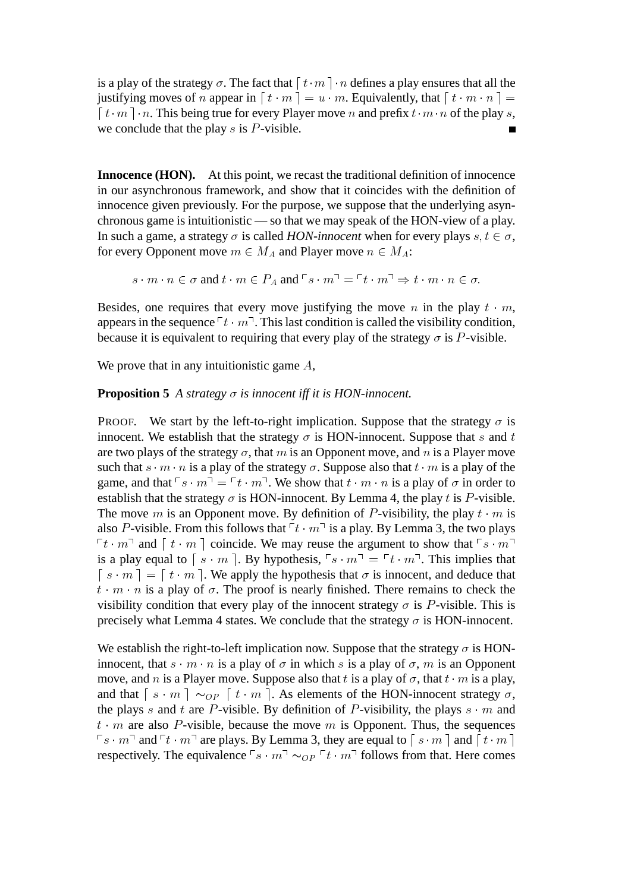is a play of the strategy  $\sigma$ . The fact that  $\lceil t \cdot m \rceil \cdot n$  defines a play ensures that all the justifying moves of n appear in  $\lceil t \cdot m \rceil = u \cdot m$ . Equivalently, that  $\lceil t \cdot m \cdot n \rceil =$  $\lceil t \cdot m \rceil \cdot n$ . This being true for every Player move n and prefix  $t \cdot m \cdot n$  of the play s, we conclude that the play  $s$  is  $P$ -visible.

**Innocence (HON).** At this point, we recast the traditional definition of innocence in our asynchronous framework, and show that it coincides with the definition of innocence given previously. For the purpose, we suppose that the underlying asynchronous game is intuitionistic — so that we may speak of the HON-view of a play. In such a game, a strategy  $\sigma$  is called *HON-innocent* when for every plays  $s, t \in \sigma$ , for every Opponent move  $m \in M_A$  and Player move  $n \in M_A$ :

$$
s \cdot m \cdot n \in \sigma \text{ and } t \cdot m \in P_A \text{ and } \ulcorner s \cdot m \urcorner = \ulcorner t \cdot m \urcorner \Rightarrow t \cdot m \cdot n \in \sigma.
$$

Besides, one requires that every move justifying the move n in the play  $t \cdot m$ , appears in the sequence  $\lceil t \cdot m \rceil$ . This last condition is called the visibility condition, because it is equivalent to requiring that every play of the strategy  $\sigma$  is P-visible.

We prove that in any intuitionistic game A,

### **Proposition 5** *A strategy*  $\sigma$  *is innocent iff it is HON-innocent.*

**PROOF.** We start by the left-to-right implication. Suppose that the strategy  $\sigma$  is innocent. We establish that the strategy  $\sigma$  is HON-innocent. Suppose that s and t are two plays of the strategy  $\sigma$ , that m is an Opponent move, and n is a Player move such that  $s \cdot m \cdot n$  is a play of the strategy  $\sigma$ . Suppose also that  $t \cdot m$  is a play of the game, and that  $\lceil s \cdot m \rceil = \lceil t \cdot m \rceil$ . We show that  $t \cdot m \cdot n$  is a play of  $\sigma$  in order to establish that the strategy  $\sigma$  is HON-innocent. By Lemma 4, the play t is P-visible. The move m is an Opponent move. By definition of P-visibility, the play  $t \cdot m$  is also P-visible. From this follows that  $\lceil t \cdot m \rceil$  is a play. By Lemma 3, the two plays  $\lceil t \cdot m \rceil$  and  $\lceil t \cdot m \rceil$  coincide. We may reuse the argument to show that  $\lceil s \cdot m \rceil$ is a play equal to  $\lceil s \cdot m \rceil$ . By hypothesis,  $\lceil s \cdot m \rceil = \lceil t \cdot m \rceil$ . This implies that  $\lceil s \cdot m \rceil = \lceil t \cdot m \rceil$ . We apply the hypothesis that  $\sigma$  is innocent, and deduce that  $t \cdot m \cdot n$  is a play of  $\sigma$ . The proof is nearly finished. There remains to check the visibility condition that every play of the innocent strategy  $\sigma$  is P-visible. This is precisely what Lemma 4 states. We conclude that the strategy  $\sigma$  is HON-innocent.

We establish the right-to-left implication now. Suppose that the strategy  $\sigma$  is HONinnocent, that  $s \cdot m \cdot n$  is a play of  $\sigma$  in which s is a play of  $\sigma$ , m is an Opponent move, and n is a Player move. Suppose also that t is a play of  $\sigma$ , that  $t \cdot m$  is a play, and that  $\lceil s \cdot m \rceil \sim_{OP} \lceil t \cdot m \rceil$ . As elements of the HON-innocent strategy  $\sigma$ , the plays s and t are P-visible. By definition of P-visibility, the plays  $s \cdot m$  and  $t \cdot m$  are also P-visible, because the move m is Opponent. Thus, the sequences  $\lceil s \cdot m \rceil$  and  $\lceil t \cdot m \rceil$  are plays. By Lemma 3, they are equal to  $\lceil s \cdot m \rceil$  and  $\lceil t \cdot m \rceil$ respectively. The equivalence  $\lceil s \cdot m \rceil \sim_{OP} \lceil t \cdot m \rceil$  follows from that. Here comes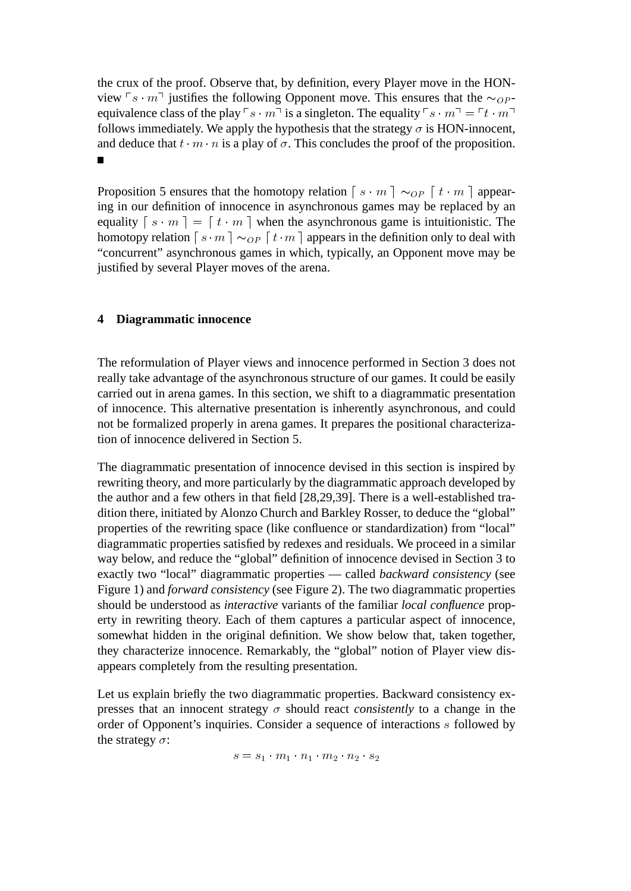the crux of the proof. Observe that, by definition, every Player move in the HONview  $\lceil s \cdot m \rceil$  justifies the following Opponent move. This ensures that the  $\sim_{OP}$ equivalence class of the play  $\lceil s \cdot m \rceil$  is a singleton. The equality  $\lceil s \cdot m \rceil = \lceil t \cdot m \rceil$ follows immediately. We apply the hypothesis that the strategy  $\sigma$  is HON-innocent, and deduce that  $t \cdot m \cdot n$  is a play of  $\sigma$ . This concludes the proof of the proposition.

Proposition 5 ensures that the homotopy relation  $\lceil s \cdot m \rceil \sim_{OP} \lceil t \cdot m \rceil$  appearing in our definition of innocence in asynchronous games may be replaced by an equality  $\lceil s \cdot m \rceil = \lceil t \cdot m \rceil$  when the asynchronous game is intuitionistic. The homotopy relation  $\lceil s \cdot m \rceil \sim_{OP} \lceil t \cdot m \rceil$  appears in the definition only to deal with "concurrent" asynchronous games in which, typically, an Opponent move may be justified by several Player moves of the arena.

# **4 Diagrammatic innocence**

The reformulation of Player views and innocence performed in Section 3 does not really take advantage of the asynchronous structure of our games. It could be easily carried out in arena games. In this section, we shift to a diagrammatic presentation of innocence. This alternative presentation is inherently asynchronous, and could not be formalized properly in arena games. It prepares the positional characterization of innocence delivered in Section 5.

The diagrammatic presentation of innocence devised in this section is inspired by rewriting theory, and more particularly by the diagrammatic approach developed by the author and a few others in that field [28,29,39]. There is a well-established tradition there, initiated by Alonzo Church and Barkley Rosser, to deduce the "global" properties of the rewriting space (like confluence or standardization) from "local" diagrammatic properties satisfied by redexes and residuals. We proceed in a similar way below, and reduce the "global" definition of innocence devised in Section 3 to exactly two "local" diagrammatic properties — called *backward consistency* (see Figure 1) and *forward consistency* (see Figure 2). The two diagrammatic properties should be understood as *interactive* variants of the familiar *local confluence* property in rewriting theory. Each of them captures a particular aspect of innocence, somewhat hidden in the original definition. We show below that, taken together, they characterize innocence. Remarkably, the "global" notion of Player view disappears completely from the resulting presentation.

Let us explain briefly the two diagrammatic properties. Backward consistency expresses that an innocent strategy  $\sigma$  should react *consistently* to a change in the order of Opponent's inquiries. Consider a sequence of interactions s followed by the strategy  $\sigma$ :

$$
s = s_1 \cdot m_1 \cdot n_1 \cdot m_2 \cdot n_2 \cdot s_2
$$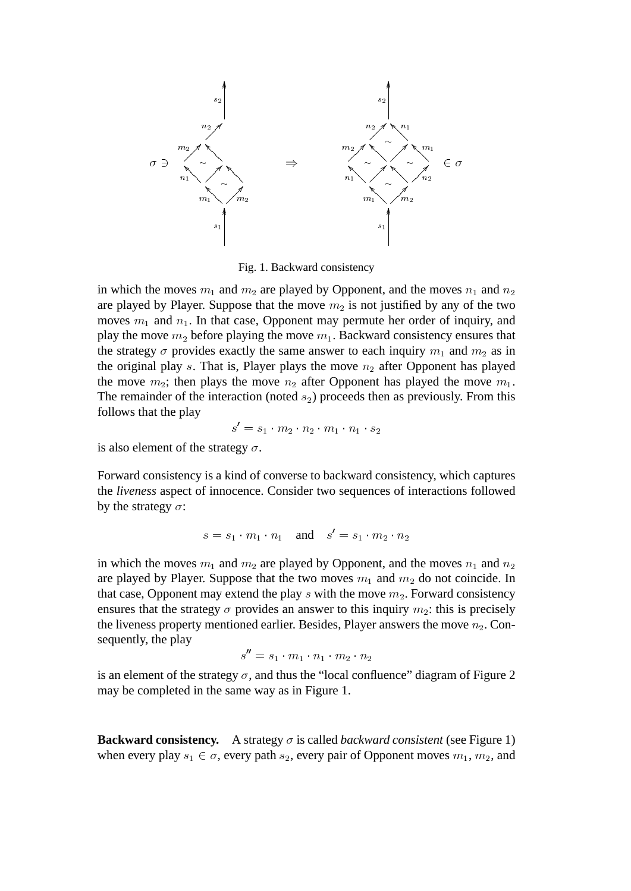

Fig. 1. Backward consistency

in which the moves  $m_1$  and  $m_2$  are played by Opponent, and the moves  $n_1$  and  $n_2$ are played by Player. Suppose that the move  $m_2$  is not justified by any of the two moves  $m_1$  and  $n_1$ . In that case, Opponent may permute her order of inquiry, and play the move  $m_2$  before playing the move  $m_1$ . Backward consistency ensures that the strategy  $\sigma$  provides exactly the same answer to each inquiry  $m_1$  and  $m_2$  as in the original play s. That is, Player plays the move  $n_2$  after Opponent has played the move  $m_2$ ; then plays the move  $n_2$  after Opponent has played the move  $m_1$ . The remainder of the interaction (noted  $s_2$ ) proceeds then as previously. From this follows that the play

$$
s' = s_1 \cdot m_2 \cdot n_2 \cdot m_1 \cdot n_1 \cdot s_2
$$

is also element of the strategy  $\sigma$ .

Forward consistency is a kind of converse to backward consistency, which captures the *liveness* aspect of innocence. Consider two sequences of interactions followed by the strategy  $\sigma$ :

$$
s = s_1 \cdot m_1 \cdot n_1 \quad \text{and} \quad s' = s_1 \cdot m_2 \cdot n_2
$$

in which the moves  $m_1$  and  $m_2$  are played by Opponent, and the moves  $n_1$  and  $n_2$ are played by Player. Suppose that the two moves  $m_1$  and  $m_2$  do not coincide. In that case, Opponent may extend the play  $s$  with the move  $m_2$ . Forward consistency ensures that the strategy  $\sigma$  provides an answer to this inquiry  $m_2$ : this is precisely the liveness property mentioned earlier. Besides, Player answers the move  $n_2$ . Consequently, the play

$$
s'' = s_1 \cdot m_1 \cdot n_1 \cdot m_2 \cdot n_2
$$

is an element of the strategy  $\sigma$ , and thus the "local confluence" diagram of Figure 2 may be completed in the same way as in Figure 1.

**Backward consistency.** A strategy  $\sigma$  is called *backward consistent* (see Figure 1) when every play  $s_1 \in \sigma$ , every path  $s_2$ , every pair of Opponent moves  $m_1, m_2$ , and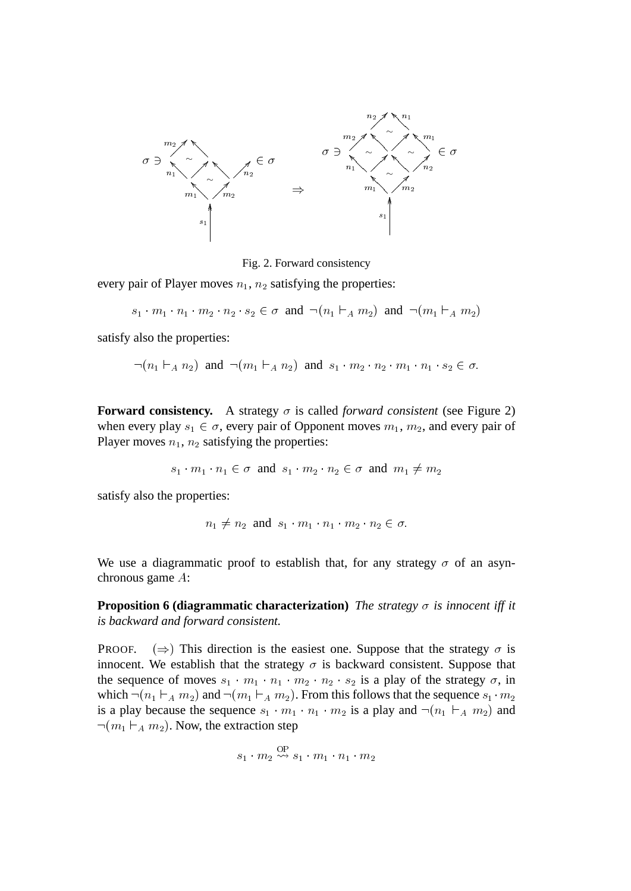

Fig. 2. Forward consistency

every pair of Player moves  $n_1$ ,  $n_2$  satisfying the properties:

$$
s_1 \cdot m_1 \cdot n_1 \cdot m_2 \cdot n_2 \cdot s_2 \in \sigma \text{ and } \neg(n_1 \vdash_A m_2) \text{ and } \neg(m_1 \vdash_A m_2)
$$

satisfy also the properties:

$$
\neg (n_1 \vdash_A n_2)
$$
 and  $\neg (m_1 \vdash_A n_2)$  and  $s_1 \cdot m_2 \cdot n_2 \cdot m_1 \cdot n_1 \cdot s_2 \in \sigma$ .

**Forward consistency.** A strategy  $\sigma$  is called *forward consistent* (see Figure 2) when every play  $s_1 \in \sigma$ , every pair of Opponent moves  $m_1, m_2$ , and every pair of Player moves  $n_1$ ,  $n_2$  satisfying the properties:

 $s_1 \cdot m_1 \cdot n_1 \in \sigma$  and  $s_1 \cdot m_2 \cdot n_2 \in \sigma$  and  $m_1 \neq m_2$ 

satisfy also the properties:

$$
n_1 \neq n_2 \text{ and } s_1 \cdot m_1 \cdot n_1 \cdot m_2 \cdot n_2 \in \sigma.
$$

We use a diagrammatic proof to establish that, for any strategy  $\sigma$  of an asynchronous game A:

**Proposition 6 (diagrammatic characterization)** *The strategy*  $\sigma$  *is innocent iff it is backward and forward consistent.*

PROOF.  $(\Rightarrow)$  This direction is the easiest one. Suppose that the strategy  $\sigma$  is innocent. We establish that the strategy  $\sigma$  is backward consistent. Suppose that the sequence of moves  $s_1 \cdot m_1 \cdot n_1 \cdot m_2 \cdot n_2 \cdot s_2$  is a play of the strategy  $\sigma$ , in which  $\neg(n_1 \rightharpoonup_A m_2)$  and  $\neg(m_1 \rightharpoonup_A m_2)$ . From this follows that the sequence  $s_1 \cdot m_2$ is a play because the sequence  $s_1 \cdot m_1 \cdot n_1 \cdot m_2$  is a play and  $\neg(n_1 \vdash_A m_2)$  and  $\neg(m_1 \vdash_A m_2)$ . Now, the extraction step

$$
s_1 \cdot m_2 \overset{\text{OP}}{\leadsto} s_1 \cdot m_1 \cdot n_1 \cdot m_2
$$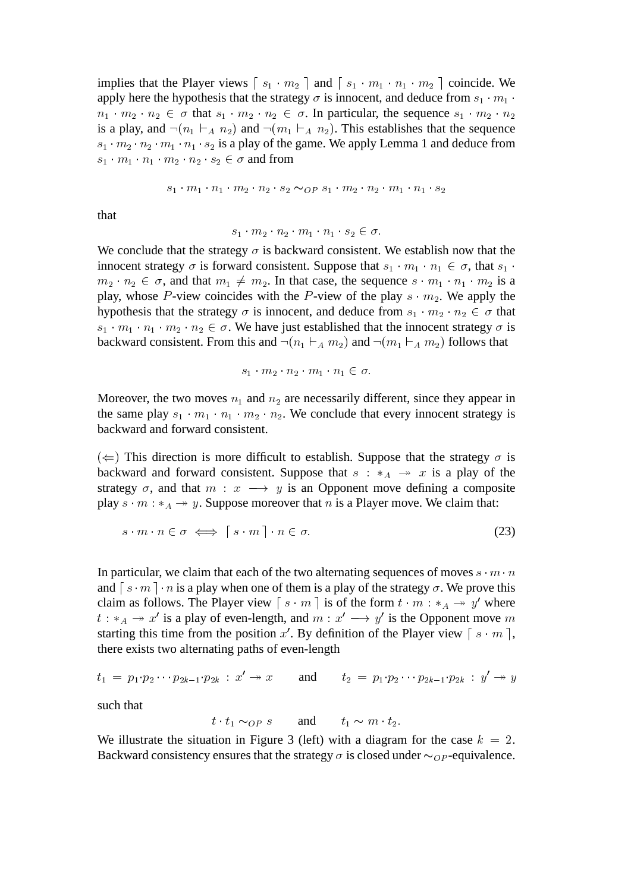implies that the Player views  $\lceil s_1 \cdot m_2 \rceil$  and  $\lceil s_1 \cdot m_1 \cdot n_1 \cdot m_2 \rceil$  coincide. We apply here the hypothesis that the strategy  $\sigma$  is innocent, and deduce from  $s_1 \cdot m_1 \cdot m_2$  $n_1 \cdot m_2 \cdot n_2 \in \sigma$  that  $s_1 \cdot m_2 \cdot n_2 \in \sigma$ . In particular, the sequence  $s_1 \cdot m_2 \cdot n_2$ is a play, and  $\neg(n_1 \rightharpoonup_A n_2)$  and  $\neg(m_1 \rightharpoonup_A n_2)$ . This establishes that the sequence  $s_1 \cdot m_2 \cdot n_2 \cdot m_1 \cdot n_1 \cdot s_2$  is a play of the game. We apply Lemma 1 and deduce from  $s_1 \cdot m_1 \cdot n_1 \cdot m_2 \cdot n_2 \cdot s_2 \in \sigma$  and from

$$
s_1 \cdot m_1 \cdot n_1 \cdot m_2 \cdot n_2 \cdot s_2 \sim_{OP} s_1 \cdot m_2 \cdot n_2 \cdot m_1 \cdot n_1 \cdot s_2
$$

that

$$
s_1\cdot m_2\cdot n_2\cdot m_1\cdot n_1\cdot s_2\in \sigma.
$$

We conclude that the strategy  $\sigma$  is backward consistent. We establish now that the innocent strategy  $\sigma$  is forward consistent. Suppose that  $s_1 \cdot m_1 \cdot n_1 \in \sigma$ , that  $s_1 \cdot$  $m_2 \cdot n_2 \in \sigma$ , and that  $m_1 \neq m_2$ . In that case, the sequence  $s \cdot m_1 \cdot n_1 \cdot m_2$  is a play, whose P-view coincides with the P-view of the play  $s \cdot m_2$ . We apply the hypothesis that the strategy  $\sigma$  is innocent, and deduce from  $s_1 \cdot m_2 \cdot n_2 \in \sigma$  that  $s_1 \cdot m_1 \cdot n_1 \cdot m_2 \cdot n_2 \in \sigma$ . We have just established that the innocent strategy  $\sigma$  is backward consistent. From this and  $\neg(n_1 \rhd_A m_2)$  and  $\neg(m_1 \rhd_A m_2)$  follows that

$$
s_1 \cdot m_2 \cdot n_2 \cdot m_1 \cdot n_1 \in \sigma.
$$

Moreover, the two moves  $n_1$  and  $n_2$  are necessarily different, since they appear in the same play  $s_1 \cdot m_1 \cdot n_1 \cdot m_2 \cdot n_2$ . We conclude that every innocent strategy is backward and forward consistent.

 $(\Leftarrow)$  This direction is more difficult to establish. Suppose that the strategy  $\sigma$  is backward and forward consistent. Suppose that  $s : *_{A} \rightarrow x$  is a play of the strategy  $\sigma$ , and that  $m : x \longrightarrow y$  is an Opponent move defining a composite play  $s \cdot m : *_{A} \rightarrow y$ . Suppose moreover that n is a Player move. We claim that:

$$
s \cdot m \cdot n \in \sigma \iff [s \cdot m] \cdot n \in \sigma. \tag{23}
$$

In particular, we claim that each of the two alternating sequences of moves  $s \cdot m \cdot n$ and  $\lceil s \cdot m \rceil \cdot n$  is a play when one of them is a play of the strategy  $\sigma$ . We prove this claim as follows. The Player view  $\begin{bmatrix} s \cdot m \end{bmatrix}$  is of the form  $t \cdot m : *_{A} \rightarrow y'$  where  $t : *_A \rightarrow x'$  is a play of even-length, and  $m : x' \rightarrow y'$  is the Opponent move m starting this time from the position x'. By definition of the Player view  $\lceil s \cdot m \rceil$ , there exists two alternating paths of even-length

$$
t_1 = p_1 \cdot p_2 \cdots p_{2k-1} \cdot p_{2k} : x' \to x
$$
 and  $t_2 = p_1 \cdot p_2 \cdots p_{2k-1} \cdot p_{2k} : y' \to y$ 

such that

$$
t \cdot t_1 \sim_{OP} s
$$
 and  $t_1 \sim m \cdot t_2$ .

We illustrate the situation in Figure 3 (left) with a diagram for the case  $k = 2$ . Backward consistency ensures that the strategy  $\sigma$  is closed under  $\sim_{OP}$ -equivalence.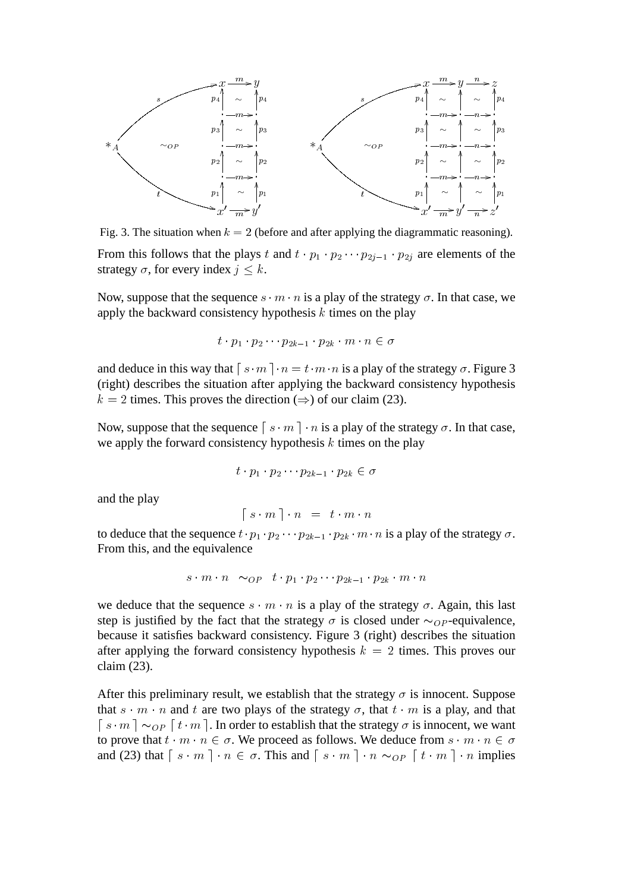

Fig. 3. The situation when  $k = 2$  (before and after applying the diagrammatic reasoning). From this follows that the plays t and  $t \cdot p_1 \cdot p_2 \cdots p_{2j-1} \cdot p_{2j}$  are elements of the strategy  $\sigma$ , for every index  $j \leq k$ .

Now, suppose that the sequence  $s \cdot m \cdot n$  is a play of the strategy  $\sigma$ . In that case, we apply the backward consistency hypothesis  $k$  times on the play

$$
t \cdot p_1 \cdot p_2 \cdots p_{2k-1} \cdot p_{2k} \cdot m \cdot n \in \sigma
$$

and deduce in this way that  $\lceil s \cdot m \rceil \cdot n = t \cdot m \cdot n$  is a play of the strategy  $\sigma$ . Figure 3 (right) describes the situation after applying the backward consistency hypothesis  $k = 2$  times. This proves the direction ( $\Rightarrow$ ) of our claim (23).

Now, suppose that the sequence  $\lceil s \cdot m \rceil \cdot n$  is a play of the strategy  $\sigma$ . In that case, we apply the forward consistency hypothesis  $k$  times on the play

$$
t \cdot p_1 \cdot p_2 \cdots p_{2k-1} \cdot p_{2k} \in \sigma
$$

and the play

$$
\left[\begin{array}{ccc} s \cdot m \end{array}\right] \cdot n = t \cdot m \cdot n
$$

to deduce that the sequence  $t \cdot p_1 \cdot p_2 \cdots p_{2k-1} \cdot p_{2k} \cdot m \cdot n$  is a play of the strategy  $\sigma$ . From this, and the equivalence

$$
s \cdot m \cdot n \sim_{OP} t \cdot p_1 \cdot p_2 \cdots p_{2k-1} \cdot p_{2k} \cdot m \cdot n
$$

we deduce that the sequence  $s \cdot m \cdot n$  is a play of the strategy  $\sigma$ . Again, this last step is justified by the fact that the strategy  $\sigma$  is closed under  $\sim_{OP}$ -equivalence, because it satisfies backward consistency. Figure 3 (right) describes the situation after applying the forward consistency hypothesis  $k = 2$  times. This proves our claim (23).

After this preliminary result, we establish that the strategy  $\sigma$  is innocent. Suppose that  $s \cdot m \cdot n$  and t are two plays of the strategy  $\sigma$ , that  $t \cdot m$  is a play, and that  $\lceil s \cdot m \rceil \sim_{OP} \lceil t \cdot m \rceil$ . In order to establish that the strategy  $\sigma$  is innocent, we want to prove that  $t \cdot m \cdot n \in \sigma$ . We proceed as follows. We deduce from  $s \cdot m \cdot n \in \sigma$ and (23) that  $\lceil s \cdot m \rceil \cdot n \in \sigma$ . This and  $\lceil s \cdot m \rceil \cdot n \sim_{OP} \lceil t \cdot m \rceil \cdot n$  implies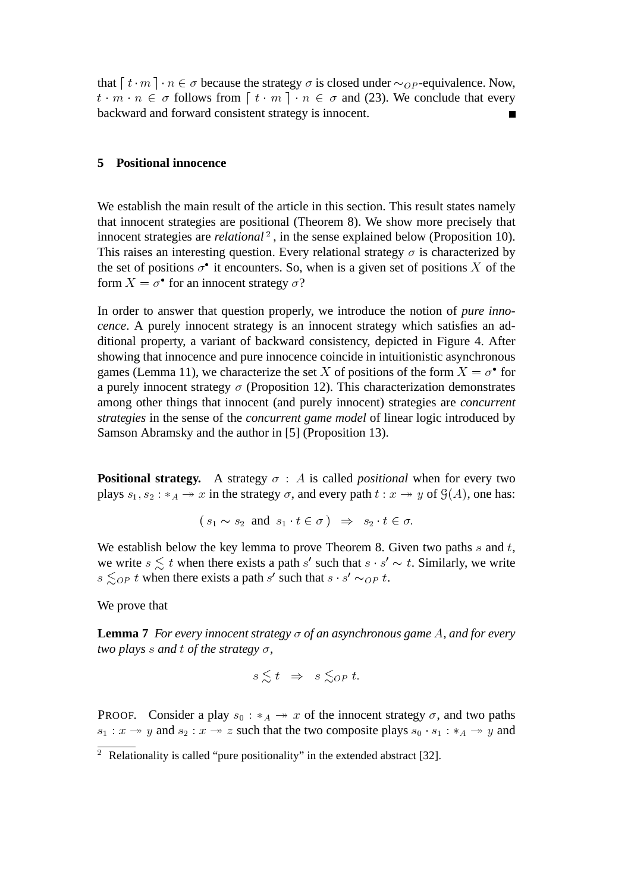that  $\lceil t \cdot m \rceil \cdot n \in \sigma$  because the strategy  $\sigma$  is closed under  $\sim_{OP}$ -equivalence. Now,  $t \cdot m \cdot n \in \sigma$  follows from  $\lceil t \cdot m \rceil \cdot n \in \sigma$  and (23). We conclude that every backward and forward consistent strategy is innocent.

## **5 Positional innocence**

We establish the main result of the article in this section. This result states namely that innocent strategies are positional (Theorem 8). We show more precisely that innocent strategies are *relational*<sup>2</sup>, in the sense explained below (Proposition 10). This raises an interesting question. Every relational strategy  $\sigma$  is characterized by the set of positions  $\sigma^{\bullet}$  it encounters. So, when is a given set of positions X of the form  $X = \sigma^{\bullet}$  for an innocent strategy  $\sigma$ ?

In order to answer that question properly, we introduce the notion of *pure innocence*. A purely innocent strategy is an innocent strategy which satisfies an additional property, a variant of backward consistency, depicted in Figure 4. After showing that innocence and pure innocence coincide in intuitionistic asynchronous games (Lemma 11), we characterize the set X of positions of the form  $X = \sigma^{\bullet}$  for a purely innocent strategy  $\sigma$  (Proposition 12). This characterization demonstrates among other things that innocent (and purely innocent) strategies are *concurrent strategies* in the sense of the *concurrent game model* of linear logic introduced by Samson Abramsky and the author in [5] (Proposition 13).

**Positional strategy.** A strategy  $\sigma$  : A is called *positional* when for every two plays  $s_1, s_2 : *_A \rightarrow x$  in the strategy  $\sigma$ , and every path  $t : x \rightarrow y$  of  $\mathcal{G}(A)$ , one has:

$$
(s_1 \sim s_2 \text{ and } s_1 \cdot t \in \sigma) \Rightarrow s_2 \cdot t \in \sigma.
$$

We establish below the key lemma to prove Theorem 8. Given two paths  $s$  and  $t$ , we write  $s \lesssim t$  when there exists a path s' such that  $s \cdot s' \sim t$ . Similarly, we write  $s \leq_{OP} t$  when there exists a path s' such that  $s \cdot s' \sim_{OP} t$ .

We prove that

**Lemma 7** *For every innocent strategy*  $\sigma$  *of an asynchronous game A, and for every two plays s and t of the strategy*  $\sigma$ ,

$$
s \lesssim t \Rightarrow s \lesssim_{OP} t.
$$

PROOF. Consider a play  $s_0 : *_A \rightarrow x$  of the innocent strategy  $\sigma$ , and two paths  $s_1 : x \rightarrow y$  and  $s_2 : x \rightarrow z$  such that the two composite plays  $s_0 \cdot s_1 : *_A \rightarrow y$  and

<sup>&</sup>lt;sup>2</sup> Relationality is called "pure positionality" in the extended abstract [32].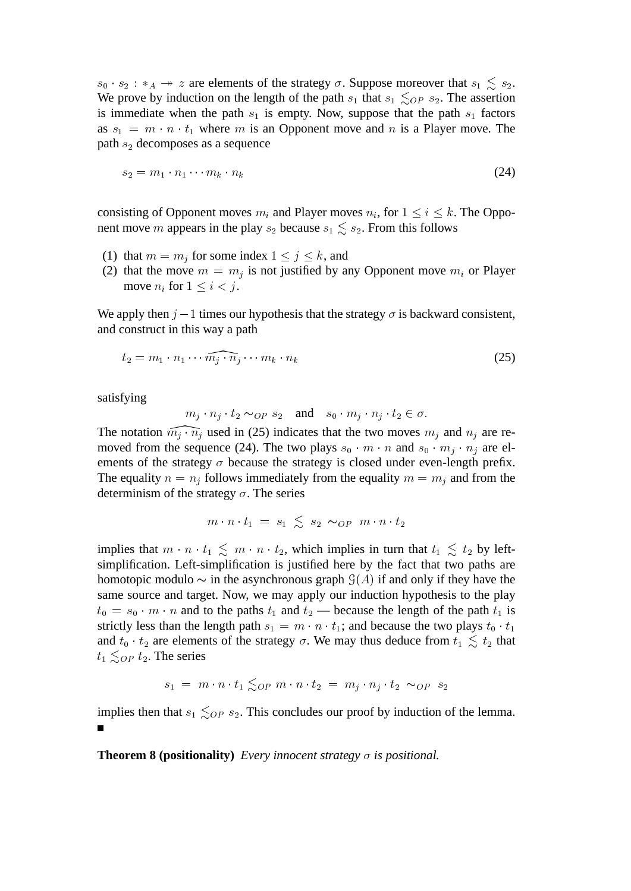$s_0 \cdot s_2 : *_A \rightarrow z$  are elements of the strategy  $\sigma$ . Suppose moreover that  $s_1 \leq s_2$ . We prove by induction on the length of the path  $s_1$  that  $s_1 \leq_{OP} s_2$ . The assertion is immediate when the path  $s_1$  is empty. Now, suppose that the path  $s_1$  factors as  $s_1 = m \cdot n \cdot t_1$  where m is an Opponent move and n is a Player move. The path  $s_2$  decomposes as a sequence

$$
s_2 = m_1 \cdot n_1 \cdots m_k \cdot n_k \tag{24}
$$

consisting of Opponent moves  $m_i$  and Player moves  $n_i$ , for  $1 \le i \le k$ . The Opponent move m appears in the play  $s_2$  because  $s_1 \leq s_2$ . From this follows

- (1) that  $m = m_j$  for some index  $1 \le j \le k$ , and
- (2) that the move  $m = m_j$  is not justified by any Opponent move  $m_i$  or Player move  $n_i$  for  $1 \le i \le j$ .

We apply then  $j-1$  times our hypothesis that the strategy  $\sigma$  is backward consistent, and construct in this way a path

$$
t_2 = m_1 \cdot n_1 \cdots \widehat{m_j \cdot n_j} \cdots m_k \cdot n_k \tag{25}
$$

satisfying

$$
m_j \cdot n_j \cdot t_2 \sim_{OP} s_2
$$
 and  $s_0 \cdot m_j \cdot n_j \cdot t_2 \in \sigma$ .

The notation  $\widehat{m_j \cdot n_j}$  used in (25) indicates that the two moves  $m_j$  and  $n_j$  are removed from the sequence (24). The two plays  $s_0 \cdot m \cdot n$  and  $s_0 \cdot m_j \cdot n_j$  are elements of the strategy  $\sigma$  because the strategy is closed under even-length prefix. The equality  $n = n<sub>j</sub>$  follows immediately from the equality  $m = m<sub>j</sub>$  and from the determinism of the strategy  $\sigma$ . The series

$$
m \cdot n \cdot t_1 = s_1 \leq s_2 \sim_{OP} m \cdot n \cdot t_2
$$

implies that  $m \cdot n \cdot t_1 \leq m \cdot n \cdot t_2$ , which implies in turn that  $t_1 \leq t_2$  by leftsimplification. Left-simplification is justified here by the fact that two paths are homotopic modulo  $\sim$  in the asynchronous graph  $\mathcal{G}(A)$  if and only if they have the same source and target. Now, we may apply our induction hypothesis to the play  $t_0 = s_0 \cdot m \cdot n$  and to the paths  $t_1$  and  $t_2$  — because the length of the path  $t_1$  is strictly less than the length path  $s_1 = m \cdot n \cdot t_1$ ; and because the two plays  $t_0 \cdot t_1$ and  $t_0 \cdot t_2$  are elements of the strategy  $\sigma$ . We may thus deduce from  $t_1 \leq t_2$  that  $t_1 \leq_{OP} t_2$ . The series

$$
s_1 = m \cdot n \cdot t_1 \lesssim_{OP} m \cdot n \cdot t_2 = m_j \cdot n_j \cdot t_2 \sim_{OP} s_2
$$

implies then that  $s_1 \leq_{OP} s_2$ . This concludes our proof by induction of the lemma.

**Theorem 8 (positionality)** *Every innocent strategy*  $\sigma$  *is positional.*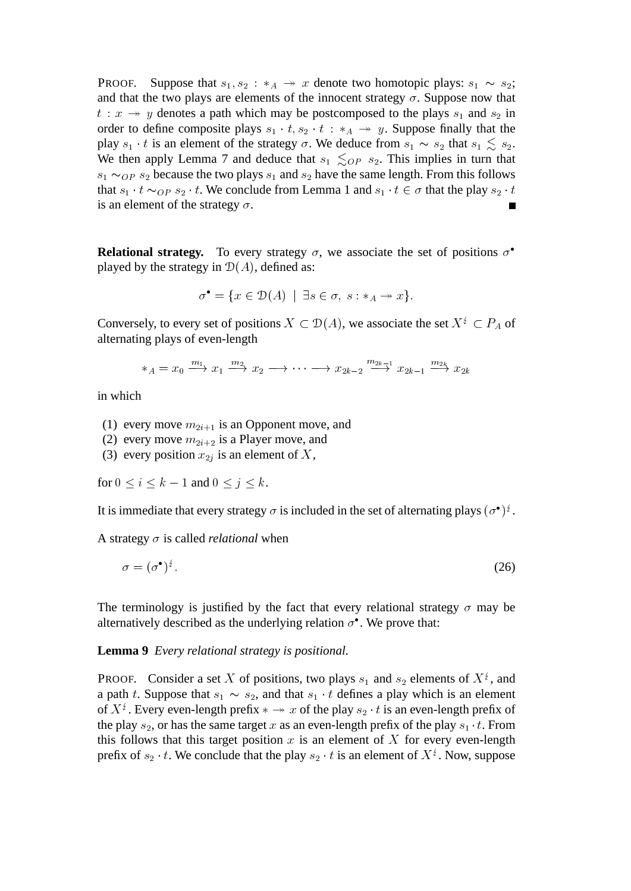**PROOF.** Suppose that  $s_1, s_2 : *_A \rightarrow x$  denote two homotopic plays:  $s_1 \sim s_2$ ; and that the two plays are elements of the innocent strategy  $\sigma$ . Suppose now that  $t : x \rightarrow y$  denotes a path which may be postcomposed to the plays  $s_1$  and  $s_2$  in order to define composite plays  $s_1 \tcdot t$ ,  $s_2 \tcdot t$  :  $*_A \rightarrow y$ . Suppose finally that the play  $s_1 \cdot t$  is an element of the strategy  $\sigma$ . We deduce from  $s_1 \sim s_2$  that  $s_1 \lesssim s_2$ . We then apply Lemma 7 and deduce that  $s_1 \leq_{OP} s_2$ . This implies in turn that  $s_1 \sim_{OP} s_2$  because the two plays  $s_1$  and  $s_2$  have the same length. From this follows that  $s_1 \cdot t \sim_{OP} s_2 \cdot t$ . We conclude from Lemma 1 and  $s_1 \cdot t \in \sigma$  that the play  $s_2 \cdot t$ is an element of the strategy  $\sigma$ .

**Relational strategy.** To every strategy  $\sigma$ , we associate the set of positions  $\sigma^{\bullet}$ played by the strategy in  $\mathcal{D}(A)$ , defined as:

$$
\sigma^{\bullet} = \{ x \in \mathcal{D}(A) \mid \exists s \in \sigma, \ s : *_{A} \to x \}.
$$

Conversely, to every set of positions  $X \subset \mathcal{D}(A)$ , we associate the set  $X^{\sharp} \subset P_A$  of alternating plays of even-length

$$
*_A = x_0 \xrightarrow{m_1} x_1 \xrightarrow{m_2} x_2 \longrightarrow \cdots \longrightarrow x_{2k-2} \xrightarrow{m_{2k-1}} x_{2k-1} \xrightarrow{m_{2k}} x_{2k}
$$

in which

- (1) every move  $m_{2i+1}$  is an Opponent move, and
- (2) every move  $m_{2i+2}$  is a Player move, and
- (3) every position  $x_{2j}$  is an element of X,

for  $0 \le i \le k - 1$  and  $0 \le j \le k$ .

It is immediate that every strategy  $\sigma$  is included in the set of alternating plays  $(\sigma^{\bullet})^{\sharp}$ .

A strategy  $\sigma$  is called *relational* when

$$
\sigma = (\sigma^{\bullet})^{\frac{1}{2}}.
$$
\n(26)

The terminology is justified by the fact that every relational strategy  $\sigma$  may be alternatively described as the underlying relation  $\sigma^{\bullet}$ . We prove that:

**Lemma 9** *Every relational strategy is positional.*

**PROOF.** Consider a set X of positions, two plays  $s_1$  and  $s_2$  elements of  $X^{\sharp}$ , and a path t. Suppose that  $s_1 \sim s_2$ , and that  $s_1 \cdot t$  defines a play which is an element of  $X^{\frac{1}{2}}$ . Every even-length prefix  $* \rightarrow x$  of the play  $s_2 \cdot t$  is an even-length prefix of the play  $s_2$ , or has the same target x as an even-length prefix of the play  $s_1 \cdot t$ . From this follows that this target position  $x$  is an element of  $X$  for every even-length prefix of  $s_2 \cdot t$ . We conclude that the play  $s_2 \cdot t$  is an element of  $X^{\frac{t}{2}}$ . Now, suppose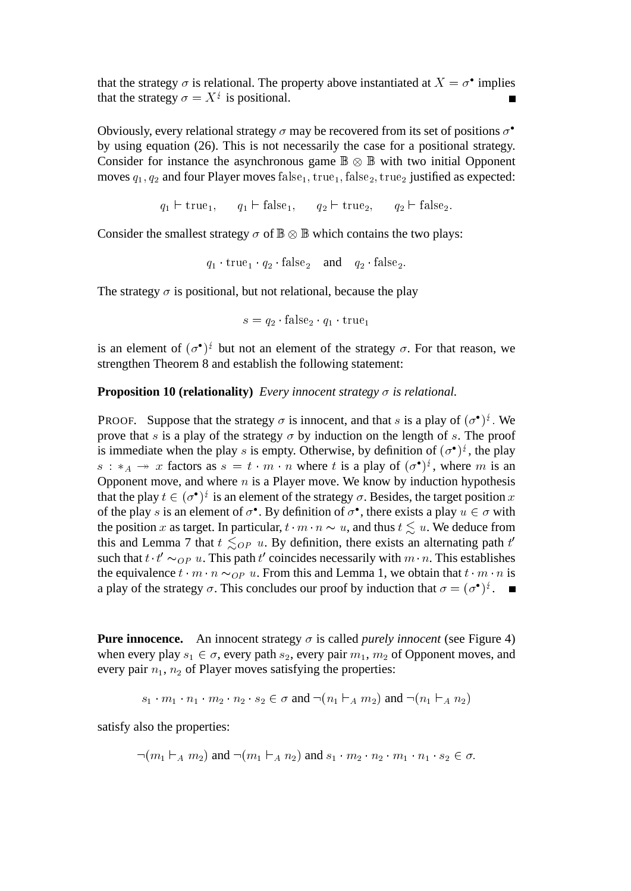that the strategy  $\sigma$  is relational. The property above instantiated at  $X = \sigma^{\bullet}$  implies that the strategy  $\sigma = X^{\frac{1}{2}}$  is positional.  $\blacksquare$ 

Obviously, every relational strategy  $\sigma$  may be recovered from its set of positions  $\sigma^{\bullet}$ by using equation (26). This is not necessarily the case for a positional strategy. Consider for instance the asynchronous game  $\mathbb{B} \otimes \mathbb{B}$  with two initial Opponent moves  $q_1, q_2$  and four Player moves  $false_1$ ,  $true_1$ ,  $false_2$ ,  $true_2$  justified as expected:

$$
q_1 \vdash \text{true}_1, \quad q_1 \vdash \text{false}_1, \quad q_2 \vdash \text{true}_2, \quad q_2 \vdash \text{false}_2.
$$

Consider the smallest strategy  $\sigma$  of  $\mathbb{B} \otimes \mathbb{B}$  which contains the two plays:

$$
q_1 \cdot \text{true}_1 \cdot q_2 \cdot \text{false}_2
$$
 and  $q_2 \cdot \text{false}_2$ .

The strategy  $\sigma$  is positional, but not relational, because the play

$$
s = q_2 \cdot \text{false}_2 \cdot q_1 \cdot \text{true}_1
$$

is an element of  $(\sigma^{\bullet})^{\circ}$  but not an element of the strategy  $\sigma$ . For that reason, we strengthen Theorem 8 and establish the following statement:

**Proposition 10 (relationality)** *Every innocent strategy*  $\sigma$  *is relational.* 

PROOF. Suppose that the strategy  $\sigma$  is innocent, and that s is a play of  $(\sigma^{\bullet})^{\frac{1}{2}}$ . We prove that s is a play of the strategy  $\sigma$  by induction on the length of s. The proof is immediate when the play s is empty. Otherwise, by definition of  $(\sigma^{\bullet})^{\sharp}$ , the play  $s : *_{A} \rightarrow x$  factors as  $s = t \cdot m \cdot n$  where t is a play of  $(\sigma^{\bullet})^{\sharp}$ , where m is an Opponent move, and where  $n$  is a Player move. We know by induction hypothesis that the play  $t \in (\sigma^{\bullet})^{\circ}$  is an element of the strategy  $\sigma$ . Besides, the target position x of the play s is an element of  $\sigma^{\bullet}$ . By definition of  $\sigma^{\bullet}$ , there exists a play  $u \in \sigma$  with the position x as target. In particular,  $t \cdot m \cdot n \sim u$ , and thus  $t \lesssim u$ . We deduce from this and Lemma 7 that  $t \leq_{OP} u$ . By definition, there exists an alternating path  $t'$ such that  $t \cdot t' \sim_{OP} u$ . This path  $t'$  coincides necessarily with  $m \cdot n$ . This establishes the equivalence  $t \cdot m \cdot n \sim_{OP} u$ . From this and Lemma 1, we obtain that  $t \cdot m \cdot n$  is a play of the strategy  $\sigma$ . This concludes our proof by induction that  $\sigma = (\sigma^{\bullet})^{\frac{1}{2}}$ .

**Pure innocence.** An innocent strategy  $\sigma$  is called *purely innocent* (see Figure 4) when every play  $s_1 \in \sigma$ , every path  $s_2$ , every pair  $m_1$ ,  $m_2$  of Opponent moves, and every pair  $n_1$ ,  $n_2$  of Player moves satisfying the properties:

$$
s_1 \cdot m_1 \cdot n_1 \cdot m_2 \cdot n_2 \cdot s_2 \in \sigma \text{ and } \neg(n_1 \vdash_A m_2) \text{ and } \neg(n_1 \vdash_A n_2)
$$

satisfy also the properties:

$$
\neg (m_1 \vdash_A m_2) \text{ and } \neg (m_1 \vdash_A n_2) \text{ and } s_1 \cdot m_2 \cdot n_2 \cdot m_1 \cdot n_1 \cdot s_2 \in \sigma.
$$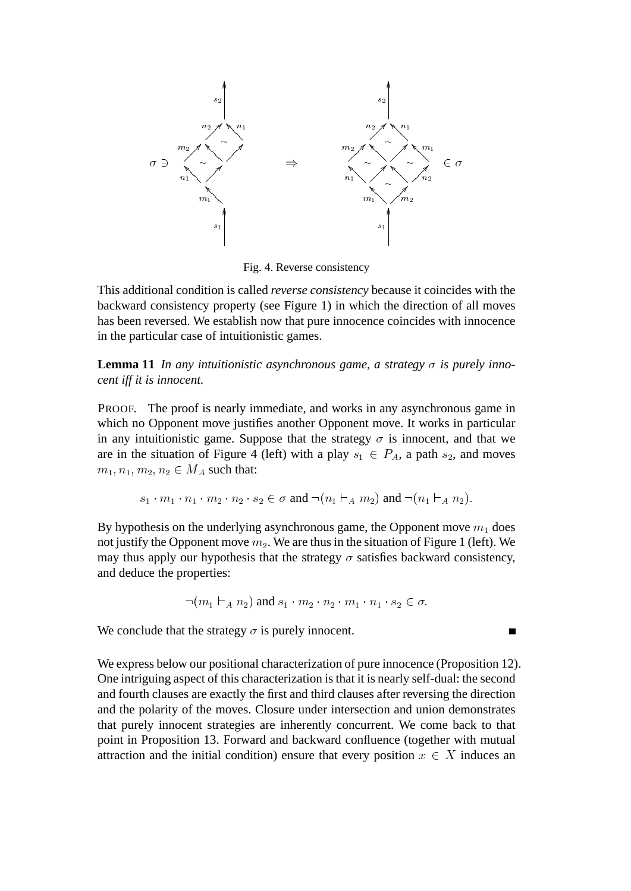

Fig. 4. Reverse consistency

This additional condition is called *reverse consistency* because it coincides with the backward consistency property (see Figure 1) in which the direction of all moves has been reversed. We establish now that pure innocence coincides with innocence in the particular case of intuitionistic games.

**Lemma 11** In any intuitionistic asynchronous game, a strategy  $\sigma$  is purely inno*cent iff it is innocent.*

PROOF. The proof is nearly immediate, and works in any asynchronous game in which no Opponent move justifies another Opponent move. It works in particular in any intuitionistic game. Suppose that the strategy  $\sigma$  is innocent, and that we are in the situation of Figure 4 (left) with a play  $s_1 \in P_A$ , a path  $s_2$ , and moves  $m_1, n_1, m_2, n_2 \in M_A$  such that:

$$
s_1 \cdot m_1 \cdot n_1 \cdot m_2 \cdot n_2 \cdot s_2 \in \sigma \text{ and } \neg(n_1 \vdash_A m_2) \text{ and } \neg(n_1 \vdash_A n_2).
$$

By hypothesis on the underlying asynchronous game, the Opponent move  $m_1$  does not justify the Opponent move  $m_2$ . We are thus in the situation of Figure 1 (left). We may thus apply our hypothesis that the strategy  $\sigma$  satisfies backward consistency, and deduce the properties:

$$
\neg (m_1 \vdash_A n_2) \text{ and } s_1 \cdot m_2 \cdot n_2 \cdot m_1 \cdot n_1 \cdot s_2 \in \sigma.
$$

We conclude that the strategy  $\sigma$  is purely innocent.

We express below our positional characterization of pure innocence (Proposition 12). One intriguing aspect of this characterization is that it is nearly self-dual: the second and fourth clauses are exactly the first and third clauses after reversing the direction and the polarity of the moves. Closure under intersection and union demonstrates that purely innocent strategies are inherently concurrent. We come back to that point in Proposition 13. Forward and backward confluence (together with mutual attraction and the initial condition) ensure that every position  $x \in X$  induces an

 $\blacksquare$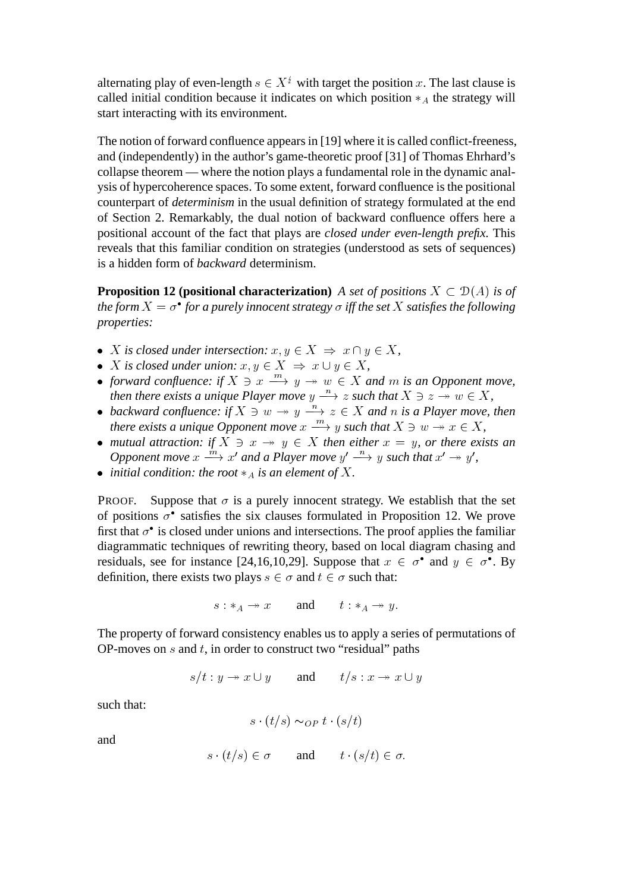alternating play of even-length  $s \in X^{\frac{1}{2}}$  with target the position x. The last clause is called initial condition because it indicates on which position  $*_A$  the strategy will start interacting with its environment.

The notion of forward confluence appears in [19] where it is called conflict-freeness, and (independently) in the author's game-theoretic proof [31] of Thomas Ehrhard's collapse theorem — where the notion plays a fundamental role in the dynamic analysis of hypercoherence spaces. To some extent, forward confluence is the positional counterpart of *determinism* in the usual definition of strategy formulated at the end of Section 2. Remarkably, the dual notion of backward confluence offers here a positional account of the fact that plays are *closed under even-length prefix.* This reveals that this familiar condition on strategies (understood as sets of sequences) is a hidden form of *backward* determinism.

**Proposition 12 (positional characterization)** *A set of positions*  $X \subset \mathcal{D}(A)$  *is of* the form  $X = \sigma^{\bullet}$  for a purely innocent strategy  $\sigma$  iff the set  $X$  satisfies the following *properties:*

- *X* is closed under intersection:  $x, y \in X \Rightarrow x \cap y \in X$ ,
- *X* is closed under union:  $x, y \in X \Rightarrow x \cup y \in X$ ,
- forward confluence: if  $X \ni x \stackrel{m}{\longrightarrow} y \rightarrow w \in X$  and m is an Opponent move, *then there exists a unique Player move*  $y \xrightarrow{n} z$  *such that*  $X \ni z \rightarrow w \in X$ ,
- backward confluence: if  $X \ni w \rightarrow y \xrightarrow{u} z \in X$  and n is a Player move, then *there exists a unique Opponent move*  $x \xrightarrow{m} y$  *such that*  $X \ni w \rightarrow x \in X$ ,
- *mutual attraction:* if  $X \ni x \rightarrow y \in X$  *then either*  $x = y$ *, or there exists an Opponent move*  $x \xrightarrow{m} x'$  and a Player move  $y' \xrightarrow{n} y$  such that  $x' \rightarrow y'$ ,
- *initial condition: the root*  $*_A$  *is an element of*  $X$ *.*

PROOF. Suppose that  $\sigma$  is a purely innocent strategy. We establish that the set of positions  $\sigma$ <sup>•</sup> satisfies the six clauses formulated in Proposition 12. We prove first that  $\sigma$ <sup> $\bullet$ </sup> is closed under unions and intersections. The proof applies the familiar diagrammatic techniques of rewriting theory, based on local diagram chasing and residuals, see for instance [24,16,10,29]. Suppose that  $x \in \sigma^{\bullet}$  and  $y \in \sigma^{\bullet}$ . By definition, there exists two plays  $s \in \sigma$  and  $t \in \sigma$  such that:

$$
s: *_{A} \to x \qquad \text{and} \qquad t: *_{A} \to y.
$$

The property of forward consistency enables us to apply a series of permutations of OP-moves on  $s$  and  $t$ , in order to construct two "residual" paths

$$
s/t: y \to x \cup y \qquad \text{and} \qquad t/s: x \to x \cup y
$$

such that:

$$
s \cdot (t/s) \sim_{OP} t \cdot (s/t)
$$

and

$$
s \cdot (t/s) \in \sigma \qquad \text{and} \qquad t \cdot (s/t) \in \sigma.
$$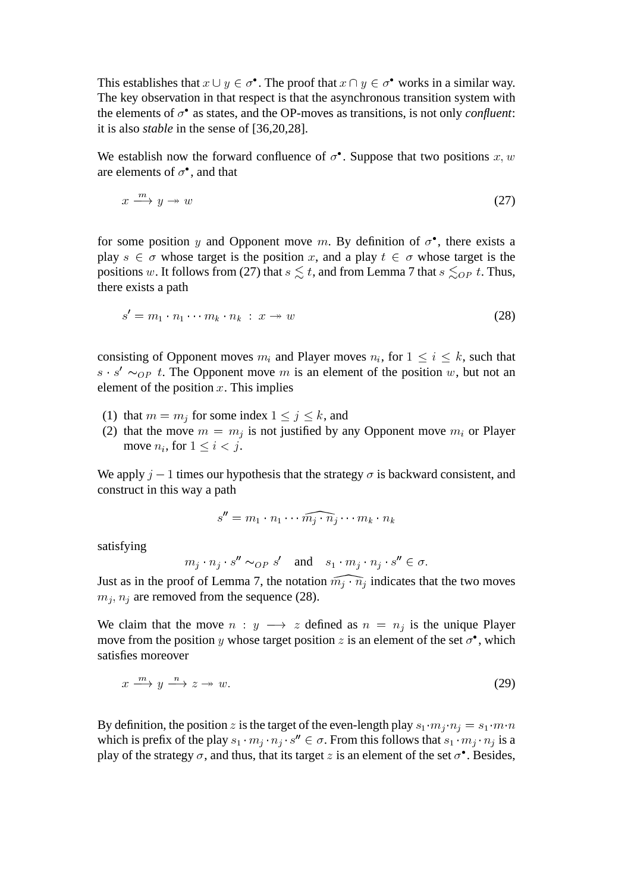This establishes that  $x \cup y \in \sigma^{\bullet}$ . The proof that  $x \cap y \in \sigma^{\bullet}$  works in a similar way. The key observation in that respect is that the asynchronous transition system with the elements of  $\sigma^{\bullet}$  as states, and the OP-moves as transitions, is not only *confluent*: it is also *stable* in the sense of [36,20,28].

We establish now the forward confluence of  $\sigma^{\bullet}$ . Suppose that two positions  $x, w$ are elements of  $\sigma^{\bullet}$ , and that

$$
x \xrightarrow{m} y \to w \tag{27}
$$

for some position y and Opponent move m. By definition of  $\sigma^{\bullet}$ , there exists a play  $s \in \sigma$  whose target is the position x, and a play  $t \in \sigma$  whose target is the positions w. It follows from (27) that  $s \leq t$ , and from Lemma 7 that  $s \leq_{OP} t$ . Thus, there exists a path

$$
s' = m_1 \cdot n_1 \cdots m_k \cdot n_k \; : \; x \to w \tag{28}
$$

consisting of Opponent moves  $m_i$  and Player moves  $n_i$ , for  $1 \le i \le k$ , such that  $s \cdot s' \sim_{OP} t$ . The Opponent move m is an element of the position w, but not an element of the position  $x$ . This implies

- (1) that  $m = m_j$  for some index  $1 \le j \le k$ , and
- (2) that the move  $m = m_j$  is not justified by any Opponent move  $m_i$  or Player move  $n_i$ , for  $1 \leq i < j$ .

We apply  $j - 1$  times our hypothesis that the strategy  $\sigma$  is backward consistent, and construct in this way a path

$$
s'' = m_1 \cdot n_1 \cdots \widehat{m_j \cdot n_j} \cdots m_k \cdot n_k
$$

satisfying

$$
m_j \cdot n_j \cdot s'' \sim_{OP} s'
$$
 and  $s_1 \cdot m_j \cdot n_j \cdot s'' \in \sigma$ .

Just as in the proof of Lemma 7, the notation  $\widehat{m_j \cdot n_j}$  indicates that the two moves  $m_j, n_j$  are removed from the sequence (28).

We claim that the move  $n : y \longrightarrow z$  defined as  $n = n_j$  is the unique Player move from the position y whose target position z is an element of the set  $\sigma^{\bullet}$ , which satisfies moreover

$$
x \xrightarrow{m} y \xrightarrow{n} z \to w. \tag{29}
$$

By definition, the position z is the target of the even-length play  $s_1 \cdot m_j \cdot n_j = s_1 \cdot m \cdot n$ which is prefix of the play  $s_1 \cdot m_j \cdot n_j \cdot s'' \in \sigma$ . From this follows that  $s_1 \cdot m_j \cdot n_j$  is a play of the strategy  $\sigma$ , and thus, that its target z is an element of the set  $\sigma^{\bullet}$ . Besides,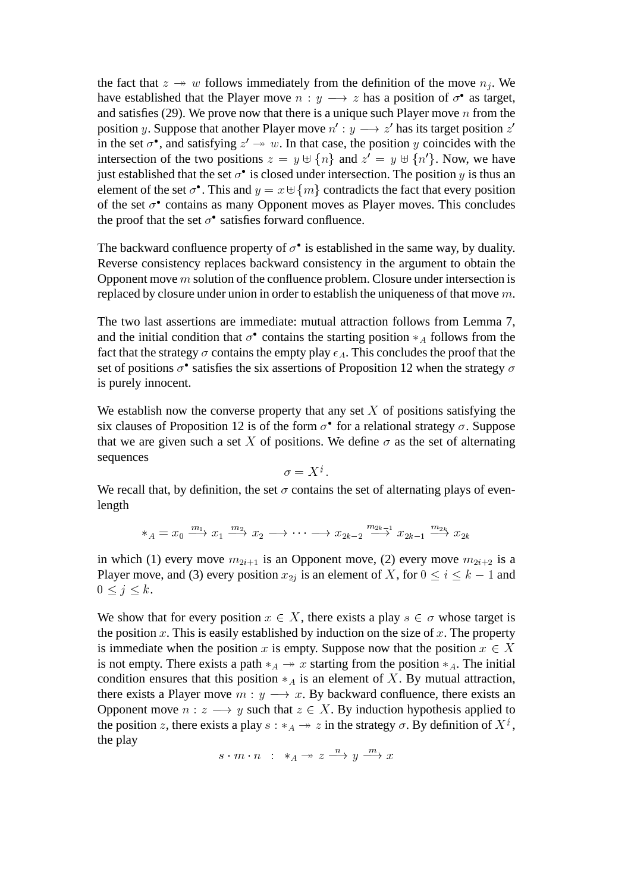the fact that  $z \to w$  follows immediately from the definition of the move  $n_j$ . We have established that the Player move  $n : y \longrightarrow z$  has a position of  $\sigma^{\bullet}$  as target, and satisfies (29). We prove now that there is a unique such Player move  $n$  from the position y. Suppose that another Player move  $n' : y \longrightarrow z'$  has its target position z' in the set  $\sigma^{\bullet}$ , and satisfying  $z' \rightarrow w$ . In that case, the position y coincides with the intersection of the two positions  $z = y \oplus \{n\}$  and  $z' = y \oplus \{n'\}$ . Now, we have just established that the set  $\sigma^{\bullet}$  is closed under intersection. The position y is thus an element of the set  $\sigma^{\bullet}$ . This and  $y = x \oplus \{m\}$  contradicts the fact that every position of the set  $\sigma$ <sup>•</sup> contains as many Opponent moves as Player moves. This concludes the proof that the set  $\sigma^{\bullet}$  satisfies forward confluence.

The backward confluence property of  $\sigma^{\bullet}$  is established in the same way, by duality. Reverse consistency replaces backward consistency in the argument to obtain the Opponent move  $m$  solution of the confluence problem. Closure under intersection is replaced by closure under union in order to establish the uniqueness of that move m.

The two last assertions are immediate: mutual attraction follows from Lemma 7, and the initial condition that  $\sigma^{\bullet}$  contains the starting position  $*_{A}$  follows from the fact that the strategy  $\sigma$  contains the empty play  $\epsilon_A$ . This concludes the proof that the set of positions  $\sigma^{\bullet}$  satisfies the six assertions of Proposition 12 when the strategy  $\sigma$ is purely innocent.

We establish now the converse property that any set  $X$  of positions satisfying the six clauses of Proposition 12 is of the form  $\sigma^{\bullet}$  for a relational strategy  $\sigma$ . Suppose that we are given such a set X of positions. We define  $\sigma$  as the set of alternating sequences

$$
\sigma=X^{\frac{t}{2}}.
$$

We recall that, by definition, the set  $\sigma$  contains the set of alternating plays of evenlength

$$
*_A = x_0 \xrightarrow{m_1} x_1 \xrightarrow{m_2} x_2 \longrightarrow \cdots \longrightarrow x_{2k-2} \xrightarrow{m_{2k-1}} x_{2k-1} \xrightarrow{m_{2k}} x_{2k}
$$

in which (1) every move  $m_{2i+1}$  is an Opponent move, (2) every move  $m_{2i+2}$  is a Player move, and (3) every position  $x_{2j}$  is an element of X, for  $0 \le i \le k - 1$  and  $0 \leq j \leq k$ .

We show that for every position  $x \in X$ , there exists a play  $s \in \sigma$  whose target is the position x. This is easily established by induction on the size of x. The property is immediate when the position x is empty. Suppose now that the position  $x \in X$ is not empty. There exists a path  $*_A \rightarrow x$  starting from the position  $*_A$ . The initial condition ensures that this position  $*_A$  is an element of X. By mutual attraction, there exists a Player move  $m : y \longrightarrow x$ . By backward confluence, there exists an Opponent move  $n : z \longrightarrow y$  such that  $z \in X$ . By induction hypothesis applied to the position z, there exists a play  $s : *_{A} \rightarrow z$  in the strategy  $\sigma$ . By definition of  $X^{\frac{1}{2}}$ , the play

 $s \cdot m \cdot n$  :  $*_A \rightarrow z \stackrel{n}{\longrightarrow} y \stackrel{m}{\longrightarrow} x$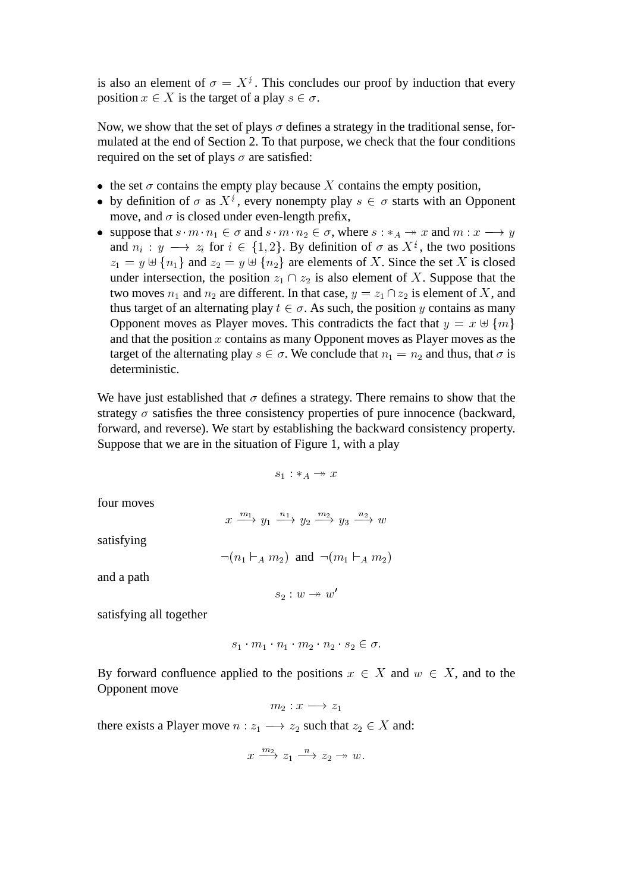is also an element of  $\sigma = X^{\frac{1}{2}}$ . This concludes our proof by induction that every position  $x \in X$  is the target of a play  $s \in \sigma$ .

Now, we show that the set of plays  $\sigma$  defines a strategy in the traditional sense, formulated at the end of Section 2. To that purpose, we check that the four conditions required on the set of plays  $\sigma$  are satisfied:

- the set  $\sigma$  contains the empty play because X contains the empty position,
- by definition of  $\sigma$  as  $X^{\xi}$ , every nonempty play  $s \in \sigma$  starts with an Opponent move, and  $\sigma$  is closed under even-length prefix,
- suppose that  $s \cdot m \cdot n_1 \in \sigma$  and  $s \cdot m \cdot n_2 \in \sigma$ , where  $s : *_A \rightarrow x$  and  $m : x \rightarrow y$ and  $n_i : y \longrightarrow z_i$  for  $i \in \{1, 2\}$ . By definition of  $\sigma$  as  $X^i$ , the two positions  $z_1 = y \oplus \{n_1\}$  and  $z_2 = y \oplus \{n_2\}$  are elements of X. Since the set X is closed under intersection, the position  $z_1 \cap z_2$  is also element of X. Suppose that the two moves  $n_1$  and  $n_2$  are different. In that case,  $y = z_1 \cap z_2$  is element of X, and thus target of an alternating play  $t \in \sigma$ . As such, the position y contains as many Opponent moves as Player moves. This contradicts the fact that  $y = x \oplus \{m\}$ and that the position  $x$  contains as many Opponent moves as Player moves as the target of the alternating play  $s \in \sigma$ . We conclude that  $n_1 = n_2$  and thus, that  $\sigma$  is deterministic.

We have just established that  $\sigma$  defines a strategy. There remains to show that the strategy  $\sigma$  satisfies the three consistency properties of pure innocence (backward, forward, and reverse). We start by establishing the backward consistency property. Suppose that we are in the situation of Figure 1, with a play

$$
s_1: *_A \rightarrow x
$$

four moves

$$
x \xrightarrow{m_1} y_1 \xrightarrow{n_1} y_2 \xrightarrow{m_2} y_3 \xrightarrow{n_2} w
$$

satisfying

$$
\neg (n_1 \vdash_A m_2)
$$
 and  $\neg (m_1 \vdash_A m_2)$ 

and a path

$$
s_2:w\twoheadrightarrow w'
$$

satisfying all together

$$
s_1 \cdot m_1 \cdot n_1 \cdot m_2 \cdot n_2 \cdot s_2 \in \sigma.
$$

By forward confluence applied to the positions  $x \in X$  and  $w \in X$ , and to the Opponent move

$$
m_2:x\longrightarrow z_1
$$

there exists a Player move  $n : z_1 \longrightarrow z_2$  such that  $z_2 \in X$  and:

$$
x \xrightarrow{m_2} z_1 \xrightarrow{n} z_2 \rightarrow w.
$$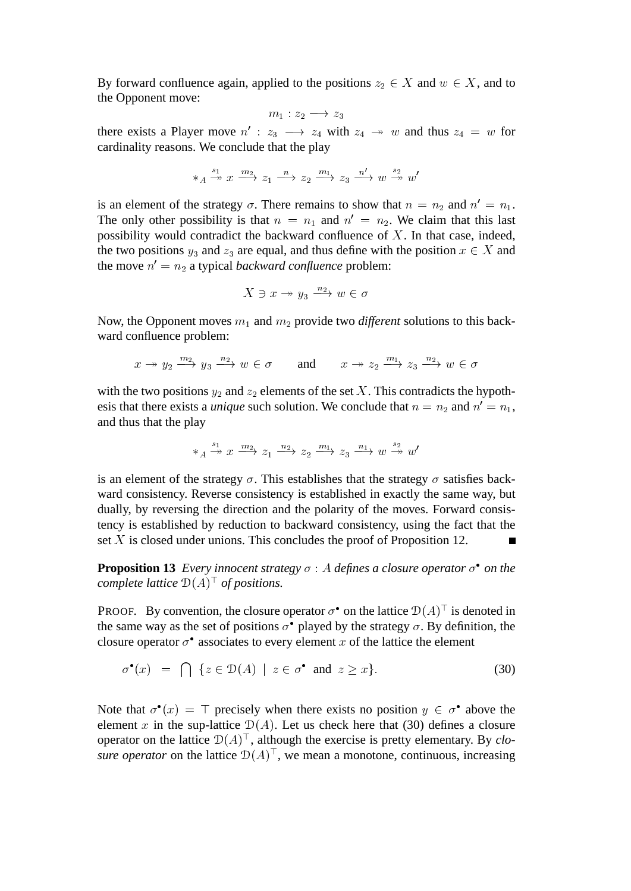By forward confluence again, applied to the positions  $z_2 \in X$  and  $w \in X$ , and to the Opponent move:

$$
m_1: z_2 \longrightarrow z_3
$$

there exists a Player move  $n' : z_3 \longrightarrow z_4$  with  $z_4 \longrightarrow w$  and thus  $z_4 = w$  for cardinality reasons. We conclude that the play

$$
*_A \xrightarrow{s_1} x \xrightarrow{m_2} z_1 \xrightarrow{n} z_2 \xrightarrow{m_1} z_3 \xrightarrow{n'} w \xrightarrow{s_2} w'
$$

is an element of the strategy  $\sigma$ . There remains to show that  $n = n_2$  and  $n' = n_1$ . The only other possibility is that  $n = n_1$  and  $n' = n_2$ . We claim that this last possibility would contradict the backward confluence of  $X$ . In that case, indeed, the two positions  $y_3$  and  $z_3$  are equal, and thus define with the position  $x \in X$  and the move  $n' = n_2$  a typical *backward confluence* problem:

$$
X \ni x \to y_3 \xrightarrow{n_2} w \in \sigma
$$

Now, the Opponent moves  $m_1$  and  $m_2$  provide two *different* solutions to this backward confluence problem:

$$
x \to y_2 \xrightarrow{m_2} y_3 \xrightarrow{n_2} w \in \sigma
$$
 and  $x \to z_2 \xrightarrow{m_1} z_3 \xrightarrow{n_2} w \in \sigma$ 

with the two positions  $y_2$  and  $z_2$  elements of the set X. This contradicts the hypothesis that there exists a *unique* such solution. We conclude that  $n = n_2$  and  $n' = n_1$ , and thus that the play

$$
*_A \xrightarrow{s_1} x \xrightarrow{m_2} z_1 \xrightarrow{n_2} z_2 \xrightarrow{m_1} z_3 \xrightarrow{n_1} w \xrightarrow{s_2} w'
$$

is an element of the strategy  $\sigma$ . This establishes that the strategy  $\sigma$  satisfies backward consistency. Reverse consistency is established in exactly the same way, but dually, by reversing the direction and the polarity of the moves. Forward consistency is established by reduction to backward consistency, using the fact that the set X is closed under unions. This concludes the proof of Proposition 12.

**Proposition 13** *Every innocent strategy*  $\sigma$  : A *defines a closure operator*  $\sigma$  *on the complete lattice* D(A) <sup>&</sup>gt; *of positions.*

**PROOF.** By convention, the closure operator  $\sigma^{\bullet}$  on the lattice  $\mathcal{D}(A)^{\dagger}$  is denoted in the same way as the set of positions  $\sigma^{\bullet}$  played by the strategy  $\sigma$ . By definition, the closure operator  $\sigma^{\bullet}$  associates to every element x of the lattice the element

$$
\sigma^{\bullet}(x) = \bigcap \{ z \in \mathcal{D}(A) \mid z \in \sigma^{\bullet} \text{ and } z \geq x \}. \tag{30}
$$

Note that  $\sigma^{\bullet}(x) = \top$  precisely when there exists no position  $y \in \sigma^{\bullet}$  above the element x in the sup-lattice  $D(A)$ . Let us check here that (30) defines a closure operator on the lattice  $D(A)^{\top}$ , although the exercise is pretty elementary. By *closure operator* on the lattice  $D(A)$ <sup> $\perp$ </sup>, we mean a monotone, continuous, increasing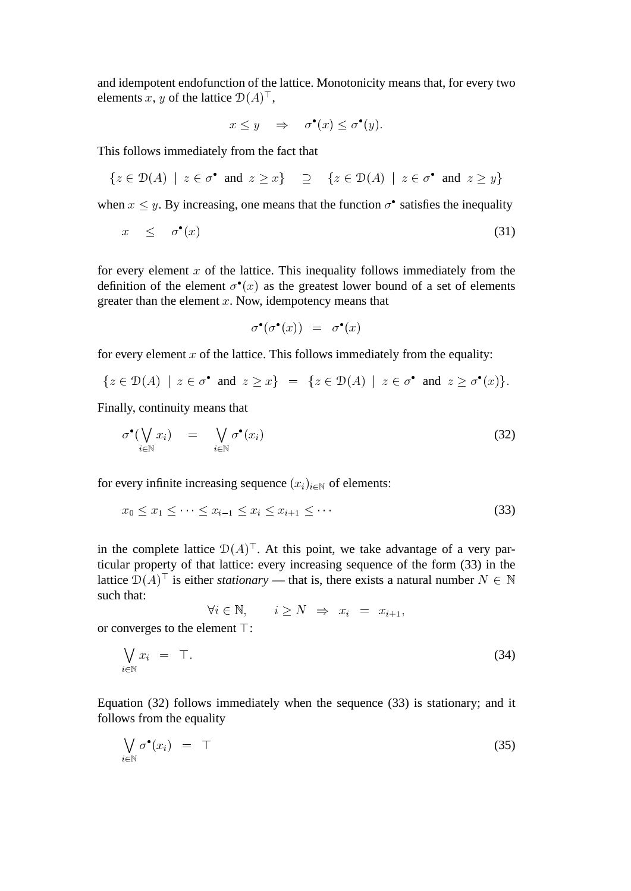and idempotent endofunction of the lattice. Monotonicity means that, for every two elements x, y of the lattice  $D(A)^{\dagger}$ ,

$$
x \le y \quad \Rightarrow \quad \sigma^{\bullet}(x) \le \sigma^{\bullet}(y).
$$

This follows immediately from the fact that

$$
\{z \in \mathcal{D}(A) \mid z \in \sigma^{\bullet} \text{ and } z \geq x\} \supseteq \{z \in \mathcal{D}(A) \mid z \in \sigma^{\bullet} \text{ and } z \geq y\}
$$

when  $x \leq y$ . By increasing, one means that the function  $\sigma^{\bullet}$  satisfies the inequality

$$
x \leq \sigma^{\bullet}(x) \tag{31}
$$

for every element  $x$  of the lattice. This inequality follows immediately from the definition of the element  $\sigma^{\bullet}(x)$  as the greatest lower bound of a set of elements greater than the element  $x$ . Now, idempotency means that

$$
\sigma^{\bullet}(\sigma^{\bullet}(x)) = \sigma^{\bullet}(x)
$$

for every element  $x$  of the lattice. This follows immediately from the equality:

$$
\{z \in \mathcal{D}(A) \mid z \in \sigma^{\bullet} \text{ and } z \geq x\} = \{z \in \mathcal{D}(A) \mid z \in \sigma^{\bullet} \text{ and } z \geq \sigma^{\bullet}(x)\}.
$$

Finally, continuity means that

$$
\sigma^{\bullet}(\bigvee_{i\in\mathbb{N}} x_i) = \bigvee_{i\in\mathbb{N}} \sigma^{\bullet}(x_i)
$$
\n(32)

for every infinite increasing sequence  $(x_i)_{i\in\mathbb{N}}$  of elements:

$$
x_0 \le x_1 \le \dots \le x_{i-1} \le x_i \le x_{i+1} \le \dots \tag{33}
$$

in the complete lattice  $D(A)$ <sup> $\perp$ </sup>. At this point, we take advantage of a very particular property of that lattice: every increasing sequence of the form (33) in the lattice  $\mathcal{D}(A)^{\dagger}$  is either *stationary* — that is, there exists a natural number  $N \in \mathbb{N}$ such that:

$$
\forall i \in \mathbb{N}, \qquad i \geq N \Rightarrow x_i = x_{i+1},
$$

or converges to the element  $\top$ :

$$
\bigvee_{i\in\mathbb{N}} x_i = \top. \tag{34}
$$

Equation (32) follows immediately when the sequence (33) is stationary; and it follows from the equality

$$
\bigvee_{i \in \mathbb{N}} \sigma^{\bullet}(x_i) = \top \tag{35}
$$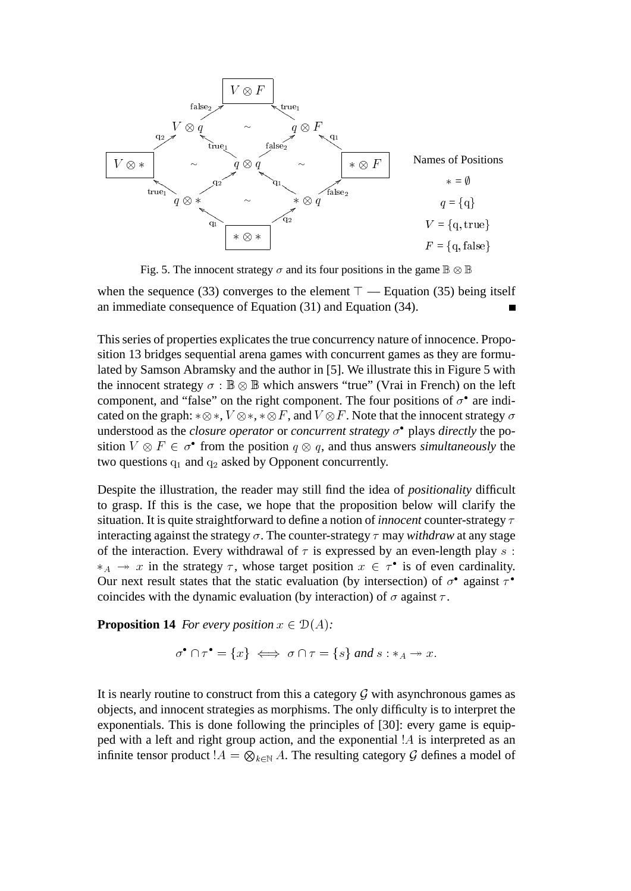

Fig. 5. The innocent strategy  $\sigma$  and its four positions in the game  $\mathbb{B} \otimes \mathbb{B}$ 

when the sequence (33) converges to the element  $\top$  — Equation (35) being itself an immediate consequence of Equation (31) and Equation (34).

This series of properties explicates the true concurrency nature of innocence. Proposition 13 bridges sequential arena games with concurrent games as they are formulated by Samson Abramsky and the author in [5]. We illustrate this in Figure 5 with the innocent strategy  $\sigma : \mathbb{B} \otimes \mathbb{B}$  which answers "true" (Vrai in French) on the left component, and "false" on the right component. The four positions of  $\sigma$ <sup>•</sup> are indicated on the graph:  $*\otimes*$ ,  $V\otimes*$ ,  $*\otimes F$ , and  $V\otimes F$ . Note that the innocent strategy  $\sigma$ understood as the *closure operator* or *concurrent strategy*  $\sigma$ <sup>•</sup> plays *directly* the position  $V \otimes F \in \sigma^{\bullet}$  from the position  $q \otimes q$ , and thus answers *simultaneously* the two questions  $q_1$  and  $q_2$  asked by Opponent concurrently.

Despite the illustration, the reader may still find the idea of *positionality* difficult to grasp. If this is the case, we hope that the proposition below will clarify the situation. It is quite straightforward to define a notion of *innocent* counter-strategy  $\tau$ interacting against the strategy  $\sigma$ . The counter-strategy  $\tau$  may *withdraw* at any stage of the interaction. Every withdrawal of  $\tau$  is expressed by an even-length play s:  $*_A \rightarrow x$  in the strategy  $\tau$ , whose target position  $x \in \tau^{\bullet}$  is of even cardinality. Our next result states that the static evaluation (by intersection) of  $\sigma^{\bullet}$  against  $\tau^{\bullet}$ coincides with the dynamic evaluation (by interaction) of  $\sigma$  against  $\tau$ .

**Proposition 14** *For every position*  $x \in \mathcal{D}(A)$ *:* 

$$
\sigma^{\bullet} \cap \tau^{\bullet} = \{x\} \iff \sigma \cap \tau = \{s\} \text{ and } s : *_{A} \to x.
$$

It is nearly routine to construct from this a category  $\mathcal G$  with asynchronous games as objects, and innocent strategies as morphisms. The only difficulty is to interpret the exponentials. This is done following the principles of [30]: every game is equipped with a left and right group action, and the exponential !A is interpreted as an infinite tensor product  $!A = \bigotimes_{k \in \mathbb{N}} A$ . The resulting category  $\mathcal G$  defines a model of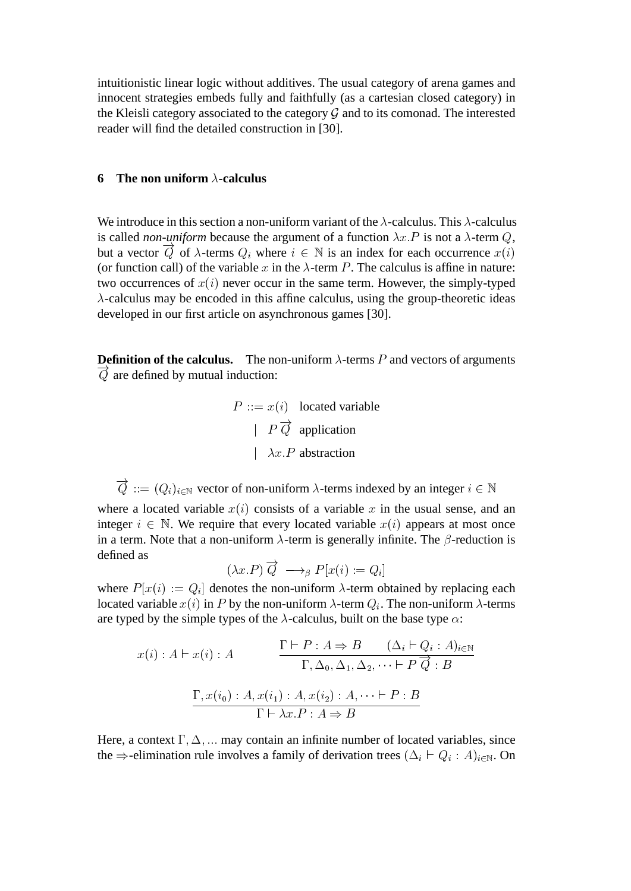intuitionistic linear logic without additives. The usual category of arena games and innocent strategies embeds fully and faithfully (as a cartesian closed category) in the Kleisli category associated to the category  $G$  and to its comonad. The interested reader will find the detailed construction in [30].

# **6** The non uniform  $\lambda$ -calculus

We introduce in this section a non-uniform variant of the  $\lambda$ -calculus. This  $\lambda$ -calculus is called *non-uniform* because the argument of a function  $\lambda x.P$  is not a  $\lambda$ -term Q, but a vector  $\overrightarrow{Q}$  of  $\lambda$ -terms  $Q_i$  where  $i \in \mathbb{N}$  is an index for each occurrence  $x(i)$ (or function call) of the variable x in the  $\lambda$ -term P. The calculus is affine in nature: two occurrences of  $x(i)$  never occur in the same term. However, the simply-typed  $\lambda$ -calculus may be encoded in this affine calculus, using the group-theoretic ideas developed in our first article on asynchronous games [30].

**Definition of the calculus.** The non-uniform  $\lambda$ -terms P and vectors of arguments  $\overrightarrow{Q}$  are defined by mutual induction:

$$
P ::= x(i) \quad \text{located variable}
$$
\n
$$
P \overrightarrow{Q} \text{ application}
$$
\n
$$
|\lambda x.P \text{ abstraction}
$$

 $\overrightarrow{Q} ::= (Q_i)_{i \in \mathbb{N}}$  vector of non-uniform  $\lambda$ -terms indexed by an integer  $i \in \mathbb{N}$ 

where a located variable  $x(i)$  consists of a variable x in the usual sense, and an integer  $i \in \mathbb{N}$ . We require that every located variable  $x(i)$  appears at most once in a term. Note that a non-uniform  $\lambda$ -term is generally infinite. The  $\beta$ -reduction is defined as

$$
(\lambda x.P)\overrightarrow{Q} \longrightarrow_{\beta} P[x(i) := Q_i]
$$

where  $P[x(i) := Q_i]$  denotes the non-uniform  $\lambda$ -term obtained by replacing each located variable  $x(i)$  in P by the non-uniform  $\lambda$ -term  $Q_i$ . The non-uniform  $\lambda$ -terms are typed by the simple types of the  $\lambda$ -calculus, built on the base type  $\alpha$ :

$$
x(i): A \vdash x(i): A \qquad \frac{\Gamma \vdash P : A \Rightarrow B \qquad (\Delta_i \vdash Q_i : A)_{i \in \mathbb{N}}}{\Gamma, \Delta_0, \Delta_1, \Delta_2, \dots \vdash P \overrightarrow{Q} : B}
$$

$$
\frac{\Gamma, x(i_0) : A, x(i_1) : A, x(i_2) : A, \dots \vdash P : B}{\Gamma \vdash \lambda x. P : A \Rightarrow B}
$$

Here, a context  $\Gamma$ ,  $\Delta$ , ... may contain an infinite number of located variables, since the  $\Rightarrow$ -elimination rule involves a family of derivation trees  $(\Delta_i \vdash Q_i : A)_{i \in \mathbb{N}}$ . On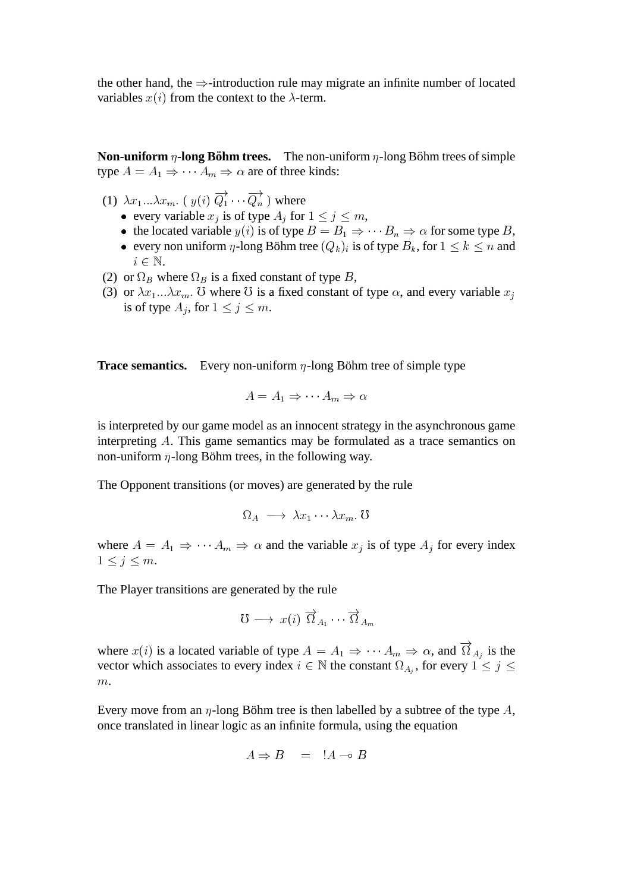the other hand, the  $\Rightarrow$ -introduction rule may migrate an infinite number of located variables  $x(i)$  from the context to the  $\lambda$ -term.

**Non-uniform**  $\eta$ -long Böhm trees. The non-uniform  $\eta$ -long Böhm trees of simple type  $A = A_1 \Rightarrow \cdots A_m \Rightarrow \alpha$  are of three kinds:

- (1)  $\lambda x_1 ... \lambda x_m$ .  $(y(i) \overrightarrow{Q}_1 \cdots \overrightarrow{Q}_n)$  where
	- every variable  $x_j$  is of type  $A_j$  for  $1 \le j \le m$ ,
	- the located variable  $y(i)$  is of type  $B = B_1 \Rightarrow \cdots B_n \Rightarrow \alpha$  for some type B,
	- every non uniform η-long Böhm tree  $(Q_k)_i$  is of type  $B_k$ , for  $1 \leq k \leq n$  and  $i \in \mathbb{N}$ .
- (2) or  $\Omega_B$  where  $\Omega_B$  is a fixed constant of type B,
- (3) or  $\lambda x_1 \ldots \lambda x_m$ . U where U is a fixed constant of type  $\alpha$ , and every variable  $x_j$ is of type  $A_j$ , for  $1 \le j \le m$ .

**Trace semantics.** Every non-uniform  $\eta$ -long Böhm tree of simple type

$$
A = A_1 \Rightarrow \cdots A_m \Rightarrow \alpha
$$

is interpreted by our game model as an innocent strategy in the asynchronous game interpreting A. This game semantics may be formulated as a trace semantics on non-uniform  $\eta$ -long Böhm trees, in the following way.

The Opponent transitions (or moves) are generated by the rule

$$
\Omega_A \longrightarrow \lambda x_1 \cdots \lambda x_m
$$
.  $\sigma$ 

where  $A = A_1 \Rightarrow \cdots A_m \Rightarrow \alpha$  and the variable  $x_j$  is of type  $A_j$  for every index  $1 \leq j \leq m$ .

The Player transitions are generated by the rule

$$
\mho \longrightarrow \ x(i) \overrightarrow{\Omega}_{A_1} \cdots \overrightarrow{\Omega}_{A_m}
$$

where  $x(i)$  is a located variable of type  $A = A_1 \Rightarrow \cdots A_m \Rightarrow \alpha$ , and  $\overrightarrow{\Omega}_{A_j}$  is the vector which associates to every index  $i \in \mathbb{N}$  the constant  $\Omega_{A_j}$ , for every  $1 \leq j \leq$  $m$ .

Every move from an  $\eta$ -long Böhm tree is then labelled by a subtree of the type A, once translated in linear logic as an infinite formula, using the equation

$$
A \Rightarrow B = A \Rightarrow B
$$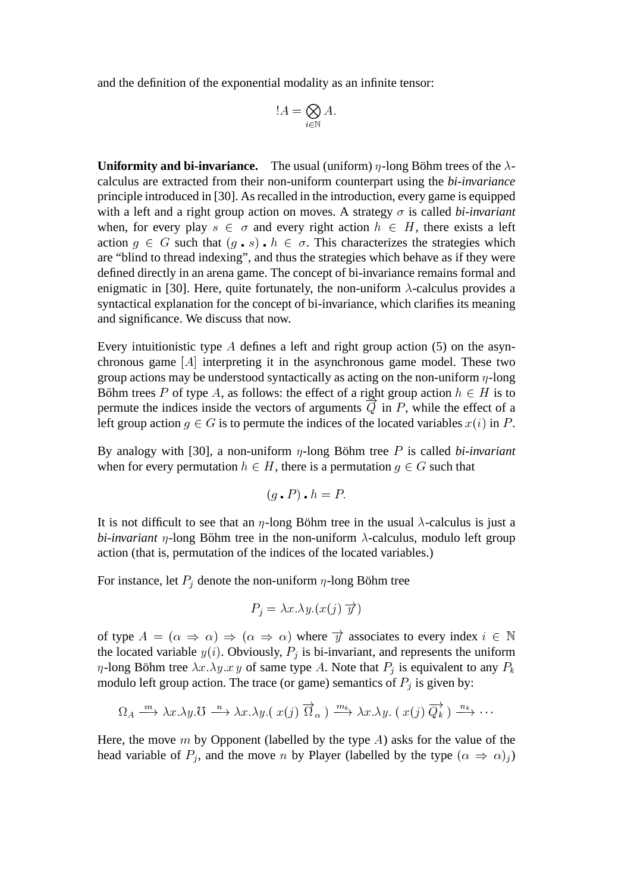and the definition of the exponential modality as an infinite tensor:

$$
!A=\bigotimes_{i\in\mathbb{N}}A.
$$

**Uniformity and bi-invariance.** The usual (uniform)  $\eta$ -long Böhm trees of the  $\lambda$ calculus are extracted from their non-uniform counterpart using the *bi-invariance* principle introduced in [30]. As recalled in the introduction, every game is equipped with a left and a right group action on moves. A strategy  $\sigma$  is called *bi-invariant* when, for every play  $s \in \sigma$  and every right action  $h \in H$ , there exists a left action  $g \in G$  such that  $(g \cdot s) \cdot h \in \sigma$ . This characterizes the strategies which are "blind to thread indexing", and thus the strategies which behave as if they were defined directly in an arena game. The concept of bi-invariance remains formal and enigmatic in [30]. Here, quite fortunately, the non-uniform  $\lambda$ -calculus provides a syntactical explanation for the concept of bi-invariance, which clarifies its meaning and significance. We discuss that now.

Every intuitionistic type A defines a left and right group action  $(5)$  on the asynchronous game  $[A]$  interpreting it in the asynchronous game model. These two group actions may be understood syntactically as acting on the non-uniform  $\eta$ -long Böhm trees P of type A, as follows: the effect of a right group action  $h \in H$  is to permute the indices inside the vectors of arguments  $\overrightarrow{Q}$  in P, while the effect of a left group action  $q \in G$  is to permute the indices of the located variables  $x(i)$  in P.

By analogy with [30], a non-uniform  $\eta$ -long Böhm tree P is called *bi-invariant* when for every permutation  $h \in H$ , there is a permutation  $g \in G$  such that

$$
(g \cdot P) \cdot h = P.
$$

It is not difficult to see that an  $\eta$ -long Böhm tree in the usual  $\lambda$ -calculus is just a *bi-invariant*  $\eta$ -long Böhm tree in the non-uniform  $\lambda$ -calculus, modulo left group action (that is, permutation of the indices of the located variables.)

For instance, let  $P_j$  denote the non-uniform  $\eta$ -long Böhm tree

$$
P_j = \lambda x.\lambda y. (x(j)\overrightarrow{y})
$$

of type  $A = (\alpha \Rightarrow \alpha) \Rightarrow (\alpha \Rightarrow \alpha)$  where  $\overrightarrow{y}$  associates to every index  $i \in \mathbb{N}$ the located variable  $y(i)$ . Obviously,  $P_j$  is bi-invariant, and represents the uniform  $\eta$ -long Böhm tree  $\lambda x.\lambda y.x y$  of same type A. Note that  $P_j$  is equivalent to any  $P_k$ modulo left group action. The trace (or game) semantics of  $P_j$  is given by:

$$
\Omega_A \xrightarrow{m} \lambda x. \lambda y. \mathcal{O} \xrightarrow{n} \lambda x. \lambda y. (\ x(j) \ \overrightarrow{\Omega}_{\alpha}) \xrightarrow{m_k} \lambda x. \lambda y. (\ x(j) \ \overrightarrow{Q_k}) \xrightarrow{n_k} \cdots
$$

Here, the move m by Opponent (labelled by the type  $A$ ) asks for the value of the head variable of  $P_j$ , and the move n by Player (labelled by the type  $(\alpha \Rightarrow \alpha)_j$ )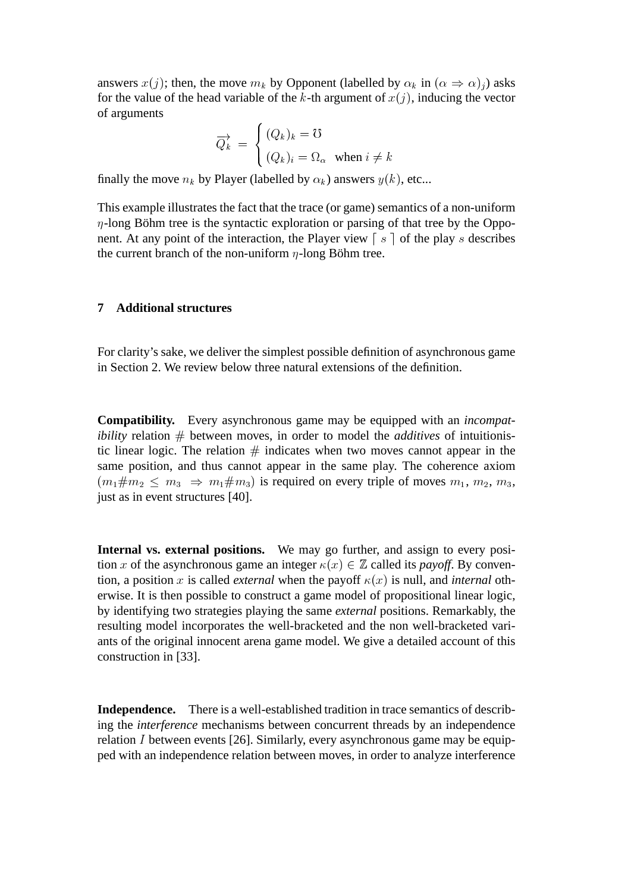answers  $x(j)$ ; then, the move  $m_k$  by Opponent (labelled by  $\alpha_k$  in  $(\alpha \Rightarrow \alpha)_j$ ) asks for the value of the head variable of the k-th argument of  $x(j)$ , inducing the vector of arguments

$$
\overrightarrow{Q_k} = \begin{cases} (Q_k)_k = \mho \\ (Q_k)_i = \Omega_\alpha \quad \text{when } i \neq k \end{cases}
$$

finally the move  $n_k$  by Player (labelled by  $\alpha_k$ ) answers  $y(k)$ , etc...

This example illustrates the fact that the trace (or game) semantics of a non-uniform  $\eta$ -long Böhm tree is the syntactic exploration or parsing of that tree by the Opponent. At any point of the interaction, the Player view  $\lceil s \rceil$  of the play s describes the current branch of the non-uniform  $\eta$ -long Böhm tree.

## **7 Additional structures**

For clarity's sake, we deliver the simplest possible definition of asynchronous game in Section 2. We review below three natural extensions of the definition.

**Compatibility.** Every asynchronous game may be equipped with an *incompatibility* relation  $\#$  between moves, in order to model the *additives* of intuitionistic linear logic. The relation  $#$  indicates when two moves cannot appear in the same position, and thus cannot appear in the same play. The coherence axiom  $(m_1 \# m_2 \leq m_3 \Rightarrow m_1 \# m_3)$  is required on every triple of moves  $m_1, m_2, m_3$ , just as in event structures [40].

**Internal vs. external positions.** We may go further, and assign to every position x of the asynchronous game an integer  $\kappa(x) \in \mathbb{Z}$  called its *payoff*. By convention, a position x is called *external* when the payoff  $\kappa(x)$  is null, and *internal* otherwise. It is then possible to construct a game model of propositional linear logic, by identifying two strategies playing the same *external* positions. Remarkably, the resulting model incorporates the well-bracketed and the non well-bracketed variants of the original innocent arena game model. We give a detailed account of this construction in [33].

**Independence.** There is a well-established tradition in trace semantics of describing the *interference* mechanisms between concurrent threads by an independence relation I between events [26]. Similarly, every asynchronous game may be equipped with an independence relation between moves, in order to analyze interference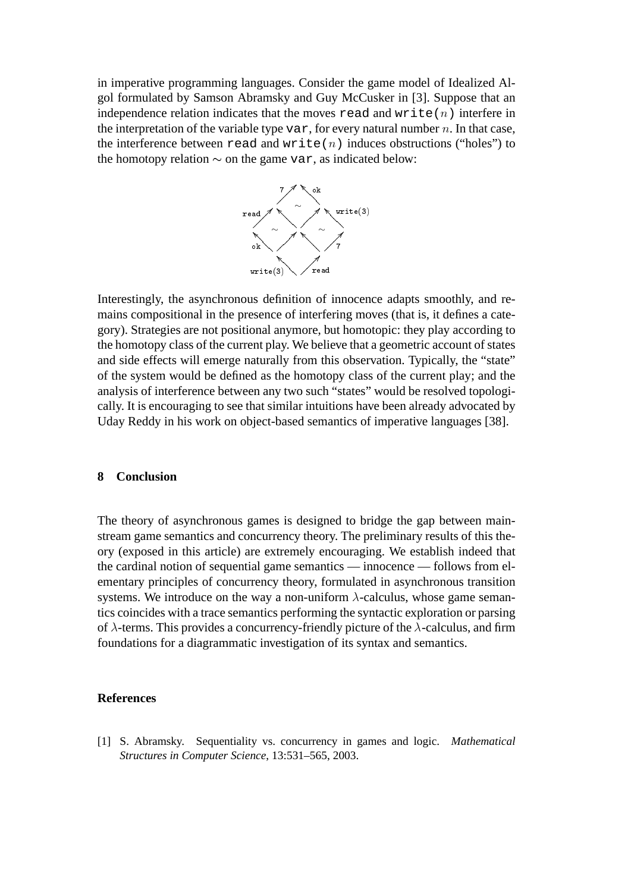in imperative programming languages. Consider the game model of Idealized Algol formulated by Samson Abramsky and Guy McCusker in [3]. Suppose that an independence relation indicates that the moves read and write  $(n)$  interfere in the interpretation of the variable type var, for every natural number  $n$ . In that case, the interference between read and write(n) induces obstructions ("holes") to the homotopy relation  $\sim$  on the game var, as indicated below:



Interestingly, the asynchronous definition of innocence adapts smoothly, and remains compositional in the presence of interfering moves (that is, it defines a category). Strategies are not positional anymore, but homotopic: they play according to the homotopy class of the current play. We believe that a geometric account of states and side effects will emerge naturally from this observation. Typically, the "state" of the system would be defined as the homotopy class of the current play; and the analysis of interference between any two such "states" would be resolved topologically. It is encouraging to see that similar intuitions have been already advocated by Uday Reddy in his work on object-based semantics of imperative languages [38].

## **8 Conclusion**

The theory of asynchronous games is designed to bridge the gap between mainstream game semantics and concurrency theory. The preliminary results of this theory (exposed in this article) are extremely encouraging. We establish indeed that the cardinal notion of sequential game semantics — innocence — follows from elementary principles of concurrency theory, formulated in asynchronous transition systems. We introduce on the way a non-uniform  $\lambda$ -calculus, whose game semantics coincides with a trace semantics performing the syntactic exploration or parsing of  $\lambda$ -terms. This provides a concurrency-friendly picture of the  $\lambda$ -calculus, and firm foundations for a diagrammatic investigation of its syntax and semantics.

#### **References**

[1] S. Abramsky. Sequentiality vs. concurrency in games and logic. *Mathematical Structures in Computer Science*, 13:531–565, 2003.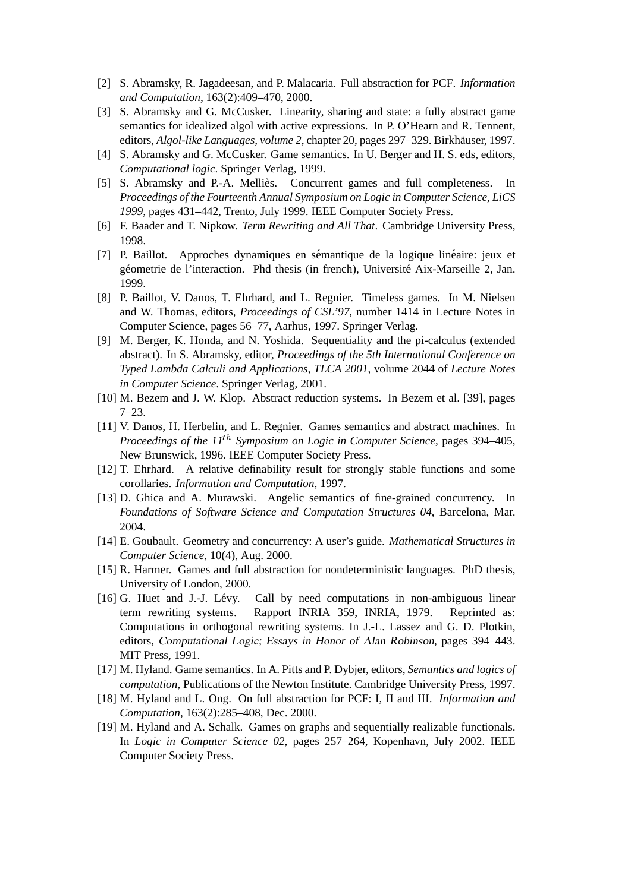- [2] S. Abramsky, R. Jagadeesan, and P. Malacaria. Full abstraction for PCF. *Information and Computation*, 163(2):409–470, 2000.
- [3] S. Abramsky and G. McCusker. Linearity, sharing and state: a fully abstract game semantics for idealized algol with active expressions. In P. O'Hearn and R. Tennent, editors, *Algol-like Languages, volume 2*, chapter 20, pages 297–329. Birkhäuser, 1997.
- [4] S. Abramsky and G. McCusker. Game semantics. In U. Berger and H. S. eds, editors, *Computational logic*. Springer Verlag, 1999.
- [5] S. Abramsky and P.-A. Mellies. Concurrent games and full completeness. In ` *Proceedings of the Fourteenth Annual Symposium on Logic in Computer Science, LiCS 1999*, pages 431–442, Trento, July 1999. IEEE Computer Society Press.
- [6] F. Baader and T. Nipkow. *Term Rewriting and All That*. Cambridge University Press, 1998.
- [7] P. Baillot. Approches dynamiques en sémantique de la logique linéaire: jeux et géometrie de l'interaction. Phd thesis (in french), Université Aix-Marseille 2, Jan. 1999.
- [8] P. Baillot, V. Danos, T. Ehrhard, and L. Regnier. Timeless games. In M. Nielsen and W. Thomas, editors, *Proceedings of CSL'97*, number 1414 in Lecture Notes in Computer Science, pages 56–77, Aarhus, 1997. Springer Verlag.
- [9] M. Berger, K. Honda, and N. Yoshida. Sequentiality and the pi-calculus (extended abstract). In S. Abramsky, editor, *Proceedings of the 5th International Conference on Typed Lambda Calculi and Applications, TLCA 2001*, volume 2044 of *Lecture Notes in Computer Science*. Springer Verlag, 2001.
- [10] M. Bezem and J. W. Klop. Abstract reduction systems. In Bezem et al. [39], pages 7–23.
- [11] V. Danos, H. Herbelin, and L. Regnier. Games semantics and abstract machines. In *Proceedings of the 11*th *Symposium on Logic in Computer Science*, pages 394–405, New Brunswick, 1996. IEEE Computer Society Press.
- [12] T. Ehrhard. A relative definability result for strongly stable functions and some corollaries. *Information and Computation*, 1997.
- [13] D. Ghica and A. Murawski. Angelic semantics of fine-grained concurrency. In *Foundations of Software Science and Computation Structures 04*, Barcelona, Mar. 2004.
- [14] E. Goubault. Geometry and concurrency: A user's guide. *Mathematical Structures in Computer Science*, 10(4), Aug. 2000.
- [15] R. Harmer. Games and full abstraction for nondeterministic languages. PhD thesis, University of London, 2000.
- [16] G. Huet and J.-J. Lévy. Call by need computations in non-ambiguous linear term rewriting systems. Rapport INRIA 359, INRIA, 1979. Reprinted as: Computations in orthogonal rewriting systems. In J.-L. Lassez and G. D. Plotkin, editors, Computational Logic; Essays in Honor of Alan Robinson, pages 394–443. MIT Press, 1991.
- [17] M. Hyland. Game semantics. In A. Pitts and P. Dybjer, editors, *Semantics and logics of computation*, Publications of the Newton Institute. Cambridge University Press, 1997.
- [18] M. Hyland and L. Ong. On full abstraction for PCF: I, II and III. *Information and Computation*, 163(2):285–408, Dec. 2000.
- [19] M. Hyland and A. Schalk. Games on graphs and sequentially realizable functionals. In *Logic in Computer Science 02*, pages 257–264, Kopenhavn, July 2002. IEEE Computer Society Press.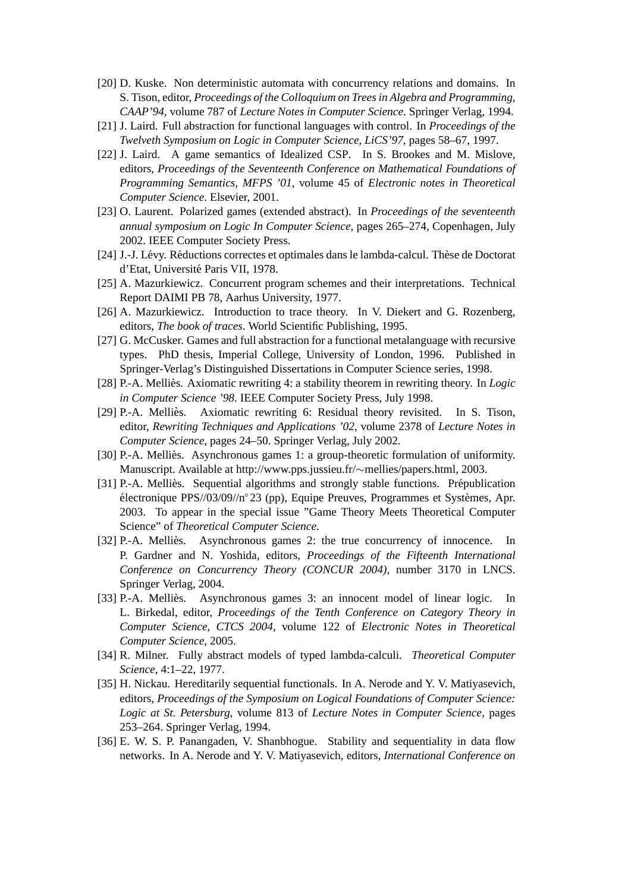- [20] D. Kuske. Non deterministic automata with concurrency relations and domains. In S. Tison, editor, *Proceedings of the Colloquium on Trees in Algebra and Programming, CAAP'94*, volume 787 of *Lecture Notes in Computer Science*. Springer Verlag, 1994.
- [21] J. Laird. Full abstraction for functional languages with control. In *Proceedings of the Twelveth Symposium on Logic in Computer Science, LiCS'97*, pages 58–67, 1997.
- [22] J. Laird. A game semantics of Idealized CSP. In S. Brookes and M. Mislove, editors, *Proceedings of the Seventeenth Conference on Mathematical Foundations of Programming Semantics, MFPS '01*, volume 45 of *Electronic notes in Theoretical Computer Science*. Elsevier, 2001.
- [23] O. Laurent. Polarized games (extended abstract). In *Proceedings of the seventeenth annual symposium on Logic In Computer Science*, pages 265–274, Copenhagen, July 2002. IEEE Computer Society Press.
- [24] J.-J. Lévy. Réductions correctes et optimales dans le lambda-calcul. Thèse de Doctorat d'Etat, Université Paris VII, 1978.
- [25] A. Mazurkiewicz. Concurrent program schemes and their interpretations. Technical Report DAIMI PB 78, Aarhus University, 1977.
- [26] A. Mazurkiewicz. Introduction to trace theory. In V. Diekert and G. Rozenberg, editors, *The book of traces*. World Scientific Publishing, 1995.
- [27] G. McCusker. Games and full abstraction for a functional metalanguage with recursive types. PhD thesis, Imperial College, University of London, 1996. Published in Springer-Verlag's Distinguished Dissertations in Computer Science series, 1998.
- [28] P.-A. Mellies. Axiomatic rewriting 4: a stability theorem in rewriting theory. In ` *Logic in Computer Science '98*. IEEE Computer Society Press, July 1998.
- [29] P.-A. Mellies. Axiomatic rewriting 6: Residual theory revisited. In S. Tison, ` editor, *Rewriting Techniques and Applications '02*, volume 2378 of *Lecture Notes in Computer Science*, pages 24–50. Springer Verlag, July 2002.
- [30] P.-A. Melliès. Asynchronous games 1: a group-theoretic formulation of uniformity. Manuscript. Available at http://www.pps.jussieu.fr/~mellies/papers.html, 2003.
- $[31]$  P.-A. Mellies. Sequential algorithms and strongly stable functions. Prépublication électronique PPS//03/09//n°23 (pp), Equipe Preuves, Programmes et Systèmes, Apr. 2003. To appear in the special issue "Game Theory Meets Theoretical Computer Science" of *Theoretical Computer Science*.
- [32] P.-A. Mellies. Asynchronous games 2: the true concurrency of innocence. In ` P. Gardner and N. Yoshida, editors, *Proceedings of the Fifteenth International Conference on Concurrency Theory (CONCUR 2004)*, number 3170 in LNCS. Springer Verlag, 2004.
- [33] P.-A. Mellies. Asynchronous games 3: an innocent model of linear logic. In ` L. Birkedal, editor, *Proceedings of the Tenth Conference on Category Theory in Computer Science, CTCS 2004*, volume 122 of *Electronic Notes in Theoretical Computer Science*, 2005.
- [34] R. Milner. Fully abstract models of typed lambda-calculi. *Theoretical Computer Science*, 4:1–22, 1977.
- [35] H. Nickau. Hereditarily sequential functionals. In A. Nerode and Y. V. Matiyasevich, editors, *Proceedings of the Symposium on Logical Foundations of Computer Science: Logic at St. Petersburg*, volume 813 of *Lecture Notes in Computer Science*, pages 253–264. Springer Verlag, 1994.
- [36] E. W. S. P. Panangaden, V. Shanbhogue. Stability and sequentiality in data flow networks. In A. Nerode and Y. V. Matiyasevich, editors, *International Conference on*